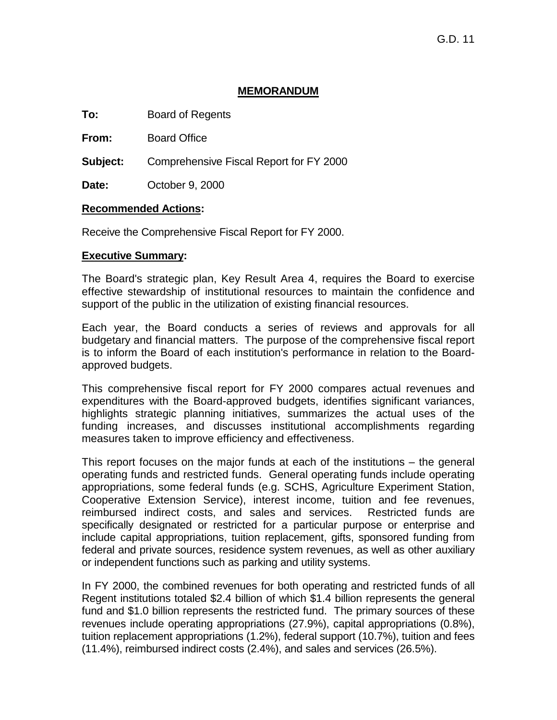#### **MEMORANDUM**

**To:** Board of Regents

**From:** Board Office

**Subject:** Comprehensive Fiscal Report for FY 2000

**Date:** October 9, 2000

#### **Recommended Actions:**

Receive the Comprehensive Fiscal Report for FY 2000.

#### **Executive Summary:**

The Board's strategic plan, Key Result Area 4, requires the Board to exercise effective stewardship of institutional resources to maintain the confidence and support of the public in the utilization of existing financial resources.

Each year, the Board conducts a series of reviews and approvals for all budgetary and financial matters. The purpose of the comprehensive fiscal report is to inform the Board of each institution's performance in relation to the Boardapproved budgets.

This comprehensive fiscal report for FY 2000 compares actual revenues and expenditures with the Board-approved budgets, identifies significant variances, highlights strategic planning initiatives, summarizes the actual uses of the funding increases, and discusses institutional accomplishments regarding measures taken to improve efficiency and effectiveness.

This report focuses on the major funds at each of the institutions – the general operating funds and restricted funds. General operating funds include operating appropriations, some federal funds (e.g. SCHS, Agriculture Experiment Station, Cooperative Extension Service), interest income, tuition and fee revenues, reimbursed indirect costs, and sales and services. Restricted funds are specifically designated or restricted for a particular purpose or enterprise and include capital appropriations, tuition replacement, gifts, sponsored funding from federal and private sources, residence system revenues, as well as other auxiliary or independent functions such as parking and utility systems.

In FY 2000, the combined revenues for both operating and restricted funds of all Regent institutions totaled \$2.4 billion of which \$1.4 billion represents the general fund and \$1.0 billion represents the restricted fund. The primary sources of these revenues include operating appropriations (27.9%), capital appropriations (0.8%), tuition replacement appropriations (1.2%), federal support (10.7%), tuition and fees (11.4%), reimbursed indirect costs (2.4%), and sales and services (26.5%).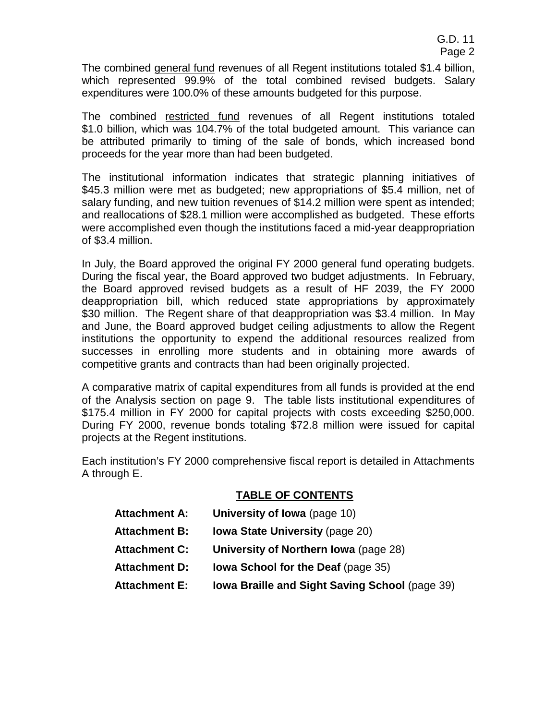The combined general fund revenues of all Regent institutions totaled \$1.4 billion, which represented 99.9% of the total combined revised budgets. Salary expenditures were 100.0% of these amounts budgeted for this purpose.

The combined restricted fund revenues of all Regent institutions totaled \$1.0 billion, which was 104.7% of the total budgeted amount. This variance can be attributed primarily to timing of the sale of bonds, which increased bond proceeds for the year more than had been budgeted.

The institutional information indicates that strategic planning initiatives of \$45.3 million were met as budgeted; new appropriations of \$5.4 million, net of salary funding, and new tuition revenues of \$14.2 million were spent as intended; and reallocations of \$28.1 million were accomplished as budgeted. These efforts were accomplished even though the institutions faced a mid-year deappropriation of \$3.4 million.

In July, the Board approved the original FY 2000 general fund operating budgets. During the fiscal year, the Board approved two budget adjustments. In February, the Board approved revised budgets as a result of HF 2039, the FY 2000 deappropriation bill, which reduced state appropriations by approximately \$30 million. The Regent share of that deappropriation was \$3.4 million. In May and June, the Board approved budget ceiling adjustments to allow the Regent institutions the opportunity to expend the additional resources realized from successes in enrolling more students and in obtaining more awards of competitive grants and contracts than had been originally projected.

A comparative matrix of capital expenditures from all funds is provided at the end of the Analysis section on page 9. The table lists institutional expenditures of \$175.4 million in FY 2000 for capital projects with costs exceeding \$250,000. During FY 2000, revenue bonds totaling \$72.8 million were issued for capital projects at the Regent institutions.

Each institution's FY 2000 comprehensive fiscal report is detailed in Attachments A through E.

# **TABLE OF CONTENTS**

- **Attachment A: University of Iowa** (page 10)
- **Attachment B: Iowa State University** (page 20)
- **Attachment C: University of Northern Iowa** (page 28)
- **Attachment D: Iowa School for the Deaf (page 35)**
- **Attachment E: Iowa Braille and Sight Saving School** (page 39)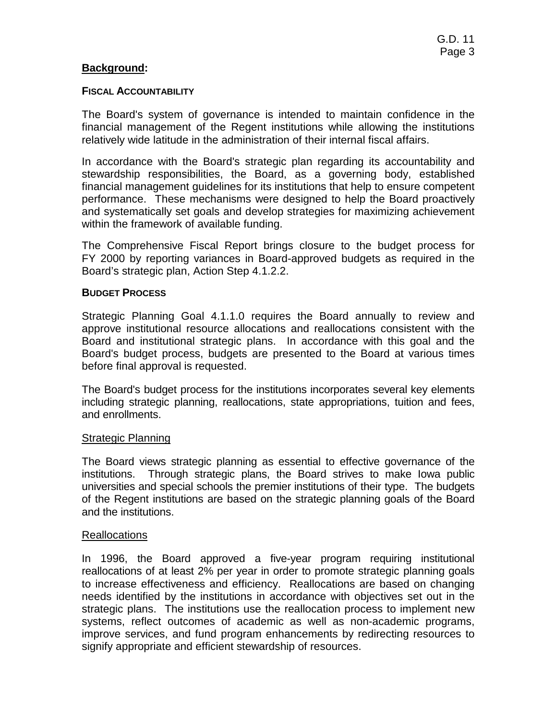### **Background:**

### **FISCAL ACCOUNTABILITY**

The Board's system of governance is intended to maintain confidence in the financial management of the Regent institutions while allowing the institutions relatively wide latitude in the administration of their internal fiscal affairs.

In accordance with the Board's strategic plan regarding its accountability and stewardship responsibilities, the Board, as a governing body, established financial management guidelines for its institutions that help to ensure competent performance. These mechanisms were designed to help the Board proactively and systematically set goals and develop strategies for maximizing achievement within the framework of available funding.

The Comprehensive Fiscal Report brings closure to the budget process for FY 2000 by reporting variances in Board-approved budgets as required in the Board's strategic plan, Action Step 4.1.2.2.

#### **BUDGET PROCESS**

Strategic Planning Goal 4.1.1.0 requires the Board annually to review and approve institutional resource allocations and reallocations consistent with the Board and institutional strategic plans. In accordance with this goal and the Board's budget process, budgets are presented to the Board at various times before final approval is requested.

The Board's budget process for the institutions incorporates several key elements including strategic planning, reallocations, state appropriations, tuition and fees, and enrollments.

#### Strategic Planning

The Board views strategic planning as essential to effective governance of the institutions. Through strategic plans, the Board strives to make Iowa public universities and special schools the premier institutions of their type. The budgets of the Regent institutions are based on the strategic planning goals of the Board and the institutions.

#### Reallocations

In 1996, the Board approved a five-year program requiring institutional reallocations of at least 2% per year in order to promote strategic planning goals to increase effectiveness and efficiency. Reallocations are based on changing needs identified by the institutions in accordance with objectives set out in the strategic plans. The institutions use the reallocation process to implement new systems, reflect outcomes of academic as well as non-academic programs, improve services, and fund program enhancements by redirecting resources to signify appropriate and efficient stewardship of resources.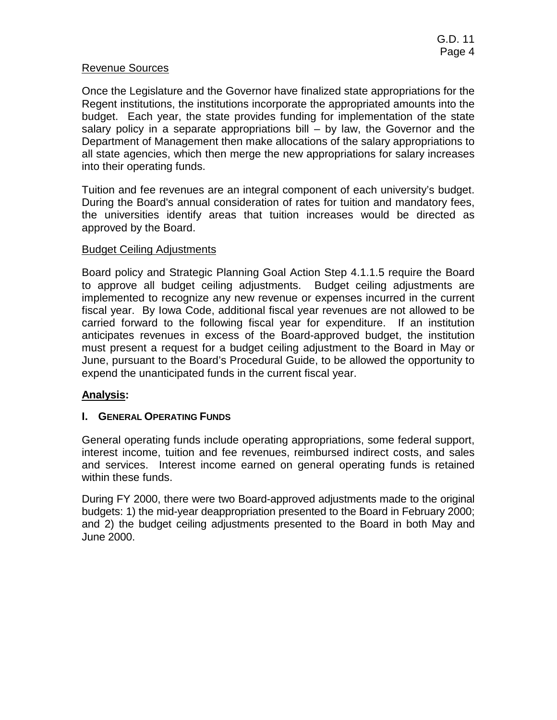#### Revenue Sources

Once the Legislature and the Governor have finalized state appropriations for the Regent institutions, the institutions incorporate the appropriated amounts into the budget. Each year, the state provides funding for implementation of the state salary policy in a separate appropriations bill – by law, the Governor and the Department of Management then make allocations of the salary appropriations to all state agencies, which then merge the new appropriations for salary increases into their operating funds.

Tuition and fee revenues are an integral component of each university's budget. During the Board's annual consideration of rates for tuition and mandatory fees, the universities identify areas that tuition increases would be directed as approved by the Board.

## Budget Ceiling Adjustments

Board policy and Strategic Planning Goal Action Step 4.1.1.5 require the Board to approve all budget ceiling adjustments. Budget ceiling adjustments are implemented to recognize any new revenue or expenses incurred in the current fiscal year. By Iowa Code, additional fiscal year revenues are not allowed to be carried forward to the following fiscal year for expenditure. If an institution anticipates revenues in excess of the Board-approved budget, the institution must present a request for a budget ceiling adjustment to the Board in May or June, pursuant to the Board's Procedural Guide, to be allowed the opportunity to expend the unanticipated funds in the current fiscal year.

# **Analysis:**

#### **I. GENERAL OPERATING FUNDS**

General operating funds include operating appropriations, some federal support, interest income, tuition and fee revenues, reimbursed indirect costs, and sales and services. Interest income earned on general operating funds is retained within these funds.

During FY 2000, there were two Board-approved adjustments made to the original budgets: 1) the mid-year deappropriation presented to the Board in February 2000; and 2) the budget ceiling adjustments presented to the Board in both May and June 2000.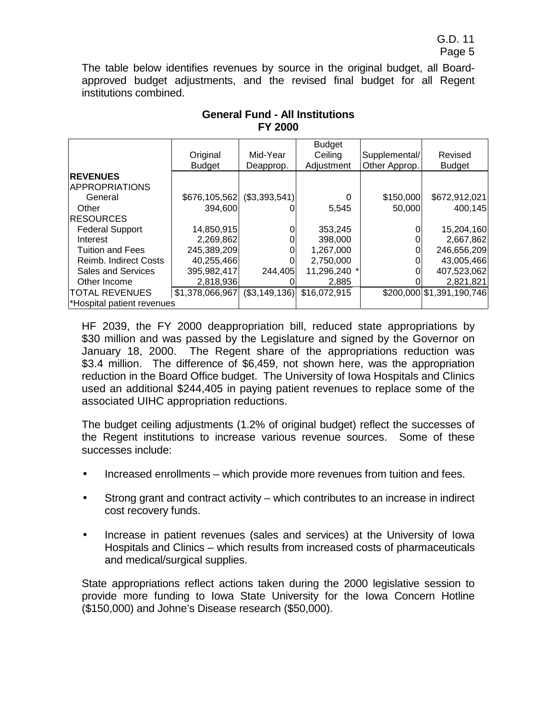The table below identifies revenues by source in the original budget, all Boardapproved budget adjustments, and the revised final budget for all Regent institutions combined.

|                              |                 |               | <b>Budget</b> |               |                           |
|------------------------------|-----------------|---------------|---------------|---------------|---------------------------|
|                              | Original        | Mid-Year      | Ceiling       | Supplemental/ | Revised                   |
|                              | <b>Budget</b>   | Deapprop.     | Adjustment    | Other Approp. | <b>Budget</b>             |
| <b>REVENUES</b>              |                 |               |               |               |                           |
| <b>APPROPRIATIONS</b>        |                 |               |               |               |                           |
| General                      | \$676,105,562   | (\$3,393,541) | 0             | \$150,000     | \$672,912,021             |
| Other                        | 394,600         |               | 5,545         | 50,000        | 400,145                   |
| <b>IRESOURCES</b>            |                 |               |               |               |                           |
| <b>Federal Support</b>       | 14,850,915      |               | 353,245       |               | 15,204,160                |
| Interest                     | 2,269,862       |               | 398,000       |               | 2,667,862                 |
| <b>Tuition and Fees</b>      | 245,389,209     |               | 1,267,000     |               | 246,656,209               |
| <b>Reimb. Indirect Costs</b> | 40,255,466      |               | 2,750,000     |               | 43,005,466                |
| <b>Sales and Services</b>    | 395,982,417     | 244,405       | 11,296,240    |               | 407,523,062               |
| Other Income                 | 2,818,936       |               | 2,885         |               | 2,821,821                 |
| <b>TOTAL REVENUES</b>        | \$1,378,066,967 | (\$3,149,136) | \$16,072,915  |               | \$200,000 \$1,391,190,746 |
| *Hospital patient revenues   |                 |               |               |               |                           |

# **General Fund - All Institutions FY 2000**

HF 2039, the FY 2000 deappropriation bill, reduced state appropriations by \$30 million and was passed by the Legislature and signed by the Governor on January 18, 2000. The Regent share of the appropriations reduction was \$3.4 million. The difference of \$6,459, not shown here, was the appropriation reduction in the Board Office budget. The University of Iowa Hospitals and Clinics used an additional \$244,405 in paying patient revenues to replace some of the associated UIHC appropriation reductions.

The budget ceiling adjustments (1.2% of original budget) reflect the successes of the Regent institutions to increase various revenue sources. Some of these successes include:

- Increased enrollments which provide more revenues from tuition and fees.
- Strong grant and contract activity which contributes to an increase in indirect cost recovery funds.
- Increase in patient revenues (sales and services) at the University of Iowa Hospitals and Clinics – which results from increased costs of pharmaceuticals and medical/surgical supplies.

State appropriations reflect actions taken during the 2000 legislative session to provide more funding to Iowa State University for the Iowa Concern Hotline (\$150,000) and Johne's Disease research (\$50,000).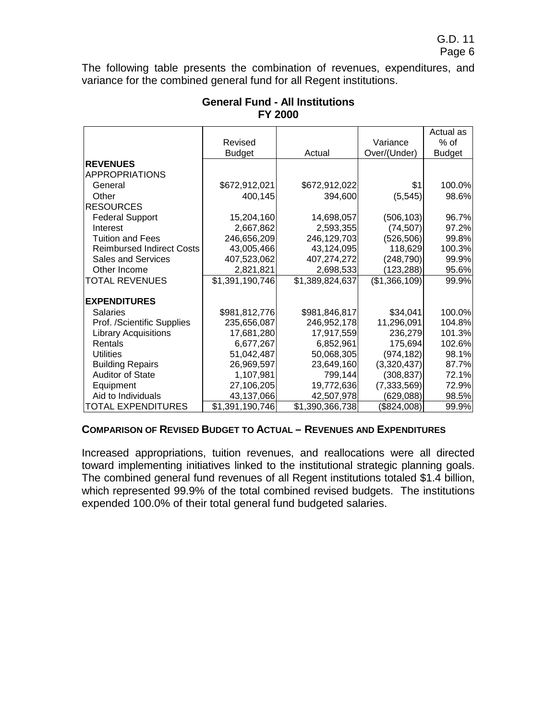The following table presents the combination of revenues, expenditures, and variance for the combined general fund for all Regent institutions.

|                                  |                 |                 |               | Actual as     |
|----------------------------------|-----------------|-----------------|---------------|---------------|
|                                  | Revised         |                 | Variance      | % of          |
|                                  | <b>Budget</b>   | Actual          | Over/(Under)  | <b>Budget</b> |
| <b>REVENUES</b>                  |                 |                 |               |               |
| <b>APPROPRIATIONS</b>            |                 |                 |               |               |
| General                          | \$672,912,021   | \$672,912,022   | \$1           | 100.0%        |
| Other                            | 400,145         | 394,600         | (5, 545)      | 98.6%         |
| <b>RESOURCES</b>                 |                 |                 |               |               |
| <b>Federal Support</b>           | 15,204,160      | 14,698,057      | (506, 103)    | 96.7%         |
| Interest                         | 2,667,862       | 2,593,355       | (74, 507)     | 97.2%         |
| <b>Tuition and Fees</b>          | 246,656,209     | 246,129,703     | (526, 506)    | 99.8%         |
| <b>Reimbursed Indirect Costs</b> | 43,005,466      | 43,124,095      | 118,629       | 100.3%        |
| <b>Sales and Services</b>        | 407,523,062     | 407,274,272     | (248, 790)    | 99.9%         |
| Other Income                     | 2,821,821       | 2,698,533       | (123, 288)    | 95.6%         |
| <b>TOTAL REVENUES</b>            | \$1,391,190,746 | \$1,389,824,637 | (\$1,366,109) | 99.9%         |
| <b>EXPENDITURES</b>              |                 |                 |               |               |
| Salaries                         | \$981,812,776   | \$981,846,817   | \$34,041      | 100.0%        |
| Prof. /Scientific Supplies       | 235,656,087     | 246,952,178     | 11,296,091    | 104.8%        |
| <b>Library Acquisitions</b>      | 17,681,280      | 17,917,559      | 236,279       | 101.3%        |
| Rentals                          | 6,677,267       | 6,852,961       | 175,694       | 102.6%        |
| <b>Utilities</b>                 | 51,042,487      | 50,068,305      | (974, 182)    | 98.1%         |
| <b>Building Repairs</b>          | 26,969,597      | 23,649,160      | (3,320,437)   | 87.7%         |
| <b>Auditor of State</b>          | 1,107,981       | 799,144         | (308, 837)    | 72.1%         |
| Equipment                        | 27,106,205      | 19,772,636      | (7, 333, 569) | 72.9%         |
| Aid to Individuals               | 43,137,066      | 42,507,978      | (629, 088)    | 98.5%         |
| ITOTAL EXPENDITURES              | \$1,391,190,746 | \$1,390,366,738 | (\$824,008)   | 99.9%         |

# **General Fund - All Institutions FY 2000**

#### **COMPARISON OF REVISED BUDGET TO ACTUAL – REVENUES AND EXPENDITURES**

Increased appropriations, tuition revenues, and reallocations were all directed toward implementing initiatives linked to the institutional strategic planning goals. The combined general fund revenues of all Regent institutions totaled \$1.4 billion, which represented 99.9% of the total combined revised budgets. The institutions expended 100.0% of their total general fund budgeted salaries.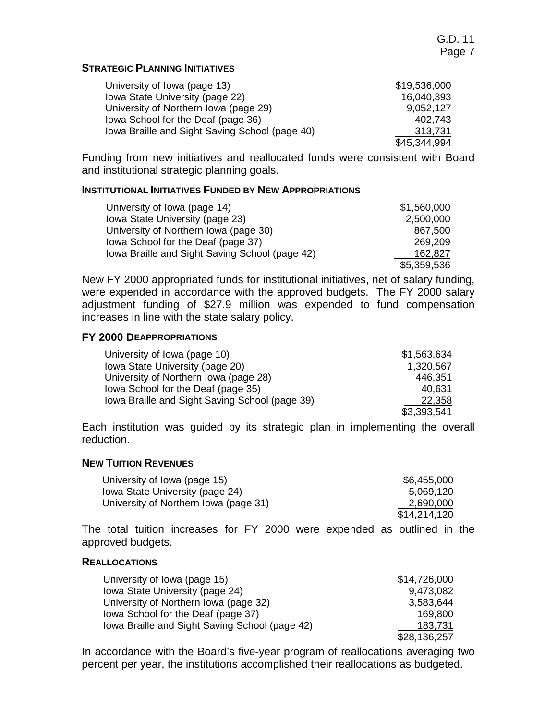#### **STRATEGIC PLANNING INITIATIVES**

| University of Iowa (page 13)                   | \$19,536,000 |
|------------------------------------------------|--------------|
| Iowa State University (page 22)                | 16,040,393   |
| University of Northern Iowa (page 29)          | 9,052,127    |
| lowa School for the Deaf (page 36)             | 402.743      |
| Iowa Braille and Sight Saving School (page 40) | 313,731      |
|                                                | \$45,344,994 |

Funding from new initiatives and reallocated funds were consistent with Board and institutional strategic planning goals.

#### **INSTITUTIONAL INITIATIVES FUNDED BY NEW APPROPRIATIONS**

| University of Iowa (page 14)                   | \$1,560,000 |
|------------------------------------------------|-------------|
| Iowa State University (page 23)                | 2,500,000   |
| University of Northern Iowa (page 30)          | 867,500     |
| lowa School for the Deaf (page 37)             | 269.209     |
| Iowa Braille and Sight Saving School (page 42) | 162,827     |
|                                                | \$5,359,536 |

New FY 2000 appropriated funds for institutional initiatives, net of salary funding, were expended in accordance with the approved budgets. The FY 2000 salary adjustment funding of \$27.9 million was expended to fund compensation increases in line with the state salary policy.

#### **FY 2000 DEAPPROPRIATIONS**

| University of Iowa (page 10)                   | \$1,563,634 |
|------------------------------------------------|-------------|
| Iowa State University (page 20)                | 1,320,567   |
| University of Northern Iowa (page 28)          | 446,351     |
| lowa School for the Deaf (page 35)             | 40.631      |
| Iowa Braille and Sight Saving School (page 39) | 22,358      |
|                                                | \$3,393,541 |

Each institution was guided by its strategic plan in implementing the overall reduction.

#### **NEW TUITION REVENUES**

| University of Iowa (page 15)          | \$6,455,000  |
|---------------------------------------|--------------|
| Iowa State University (page 24)       | 5,069,120    |
| University of Northern Iowa (page 31) | 2.690.000    |
|                                       | \$14,214,120 |

The total tuition increases for FY 2000 were expended as outlined in the approved budgets.

#### **REALLOCATIONS**

| University of Iowa (page 15)                   | \$14,726,000 |
|------------------------------------------------|--------------|
| Iowa State University (page 24)                | 9,473,082    |
| University of Northern Iowa (page 32)          | 3,583,644    |
| lowa School for the Deaf (page 37)             | 169.800      |
| lowa Braille and Sight Saving School (page 42) | 183,731      |
|                                                | \$28,136,257 |

In accordance with the Board's five-year program of reallocations averaging two percent per year, the institutions accomplished their reallocations as budgeted.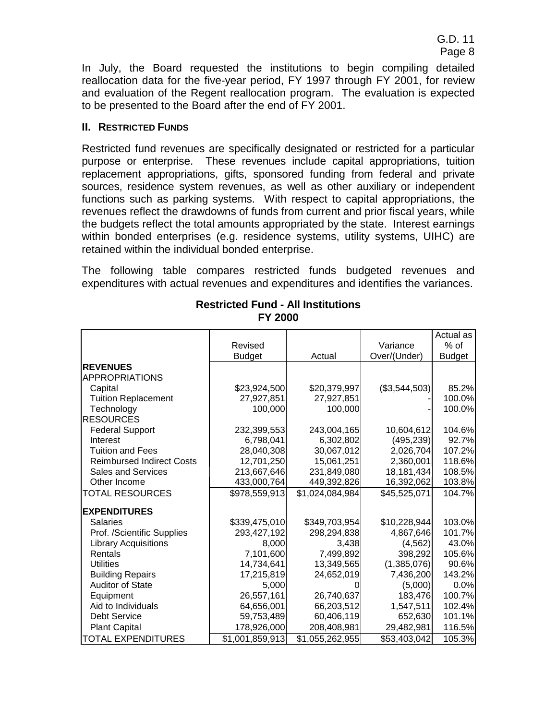In July, the Board requested the institutions to begin compiling detailed reallocation data for the five-year period, FY 1997 through FY 2001, for review and evaluation of the Regent reallocation program. The evaluation is expected to be presented to the Board after the end of FY 2001.

#### **II. RESTRICTED FUNDS**

Restricted fund revenues are specifically designated or restricted for a particular purpose or enterprise. These revenues include capital appropriations, tuition replacement appropriations, gifts, sponsored funding from federal and private sources, residence system revenues, as well as other auxiliary or independent functions such as parking systems. With respect to capital appropriations, the revenues reflect the drawdowns of funds from current and prior fiscal years, while the budgets reflect the total amounts appropriated by the state. Interest earnings within bonded enterprises (e.g. residence systems, utility systems, UIHC) are retained within the individual bonded enterprise.

The following table compares restricted funds budgeted revenues and expenditures with actual revenues and expenditures and identifies the variances.

|                                  |                 |                 |               | Actual as     |
|----------------------------------|-----------------|-----------------|---------------|---------------|
|                                  | Revised         |                 | Variance      | % of          |
|                                  | <b>Budget</b>   | Actual          | Over/(Under)  | <b>Budget</b> |
| <b>REVENUES</b>                  |                 |                 |               |               |
| APPROPRIATIONS                   |                 |                 |               |               |
| Capital                          | \$23,924,500    | \$20,379,997    | (\$3,544,503) | 85.2%         |
| <b>Tuition Replacement</b>       | 27,927,851      | 27,927,851      |               | 100.0%        |
| Technology                       | 100,000         | 100,000         |               | 100.0%        |
| <b>RESOURCES</b>                 |                 |                 |               |               |
| <b>Federal Support</b>           | 232,399,553     | 243,004,165     | 10,604,612    | 104.6%        |
| Interest                         | 6,798,041       | 6,302,802       | (495, 239)    | 92.7%         |
| <b>Tuition and Fees</b>          | 28,040,308      | 30,067,012      | 2,026,704     | 107.2%        |
| <b>Reimbursed Indirect Costs</b> | 12,701,250      | 15,061,251      | 2,360,001     | 118.6%        |
| <b>Sales and Services</b>        | 213,667,646     | 231,849,080     | 18, 181, 434  | 108.5%        |
| Other Income                     | 433,000,764     | 449,392,826     | 16,392,062    | 103.8%        |
| <b>TOTAL RESOURCES</b>           | \$978,559,913   | \$1,024,084,984 | \$45,525,071  | 104.7%        |
| <b>EXPENDITURES</b>              |                 |                 |               |               |
| Salaries                         | \$339,475,010   | \$349,703,954   | \$10,228,944  | 103.0%        |
| Prof. /Scientific Supplies       | 293,427,192     | 298,294,838     | 4,867,646     | 101.7%        |
| <b>Library Acquisitions</b>      | 8,000           | 3,438           | (4, 562)      | 43.0%         |
| Rentals                          | 7,101,600       | 7,499,892       | 398,292       | 105.6%        |
| <b>Utilities</b>                 | 14,734,641      | 13,349,565      | (1,385,076)   | 90.6%         |
| <b>Building Repairs</b>          | 17,215,819      | 24,652,019      | 7,436,200     | 143.2%        |
| Auditor of State                 | 5,000           |                 | (5,000)       | 0.0%          |
| Equipment                        | 26,557,161      | 26,740,637      | 183,476       | 100.7%        |
| Aid to Individuals               | 64,656,001      | 66,203,512      | 1,547,511     | 102.4%        |
| <b>Debt Service</b>              | 59,753,489      | 60,406,119      | 652,630       | 101.1%        |
| <b>Plant Capital</b>             | 178,926,000     | 208,408,981     | 29,482,981    | 116.5%        |
| ITOTAL EXPENDITURES              | \$1,001,859,913 | \$1,055,262,955 | \$53,403,042  | 105.3%        |

# **Restricted Fund - All Institutions FY 2000**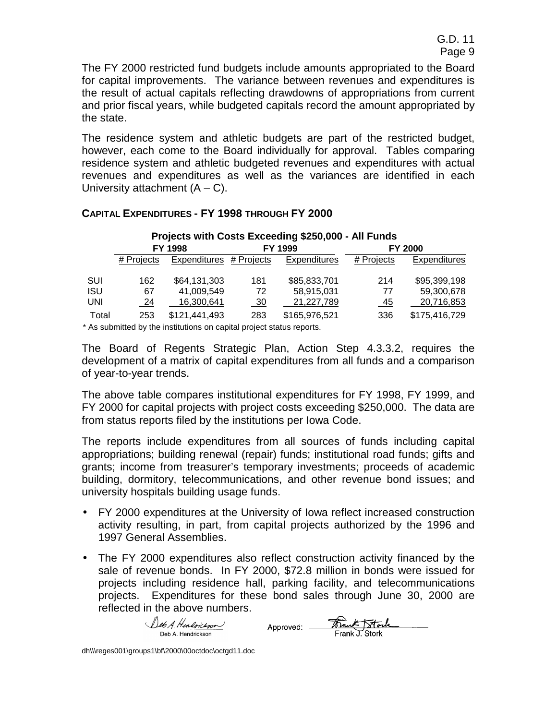The FY 2000 restricted fund budgets include amounts appropriated to the Board for capital improvements. The variance between revenues and expenditures is the result of actual capitals reflecting drawdowns of appropriations from current and prior fiscal years, while budgeted capitals record the amount appropriated by the state.

The residence system and athletic budgets are part of the restricted budget, however, each come to the Board individually for approval. Tables comparing residence system and athletic budgeted revenues and expenditures with actual revenues and expenditures as well as the variances are identified in each University attachment  $(A - C)$ .

| Projects with Costs Exceeding \$250,000 - All Funds                      |            |                         |                                                                                                                                                      |                     |                |               |
|--------------------------------------------------------------------------|------------|-------------------------|------------------------------------------------------------------------------------------------------------------------------------------------------|---------------------|----------------|---------------|
|                                                                          |            | FY 1998                 | FY 1999                                                                                                                                              |                     | <b>FY 2000</b> |               |
|                                                                          | # Projects | Expenditures # Projects |                                                                                                                                                      | <b>Expenditures</b> | # Projects     | Expenditures  |
| SUI                                                                      | 162        | \$64,131,303            | 181                                                                                                                                                  | \$85,833,701        | 214            | \$95,399,198  |
| <b>ISU</b>                                                               | 67         | 41,009,549              | 72                                                                                                                                                   | 58,915,031          | 77             | 59,300,678    |
| UNI.                                                                     | 24         | 16,300,641              | - 30                                                                                                                                                 | 21,227,789          | 45             | 20,716,853    |
| Total<br>$\mathbf{a}$ and $\mathbf{a}$ and $\mathbf{a}$ and $\mathbf{a}$ | 253        | \$121,441,493           | 283<br>$\frac{1}{2}$ , $\frac{1}{2}$ , $\frac{1}{2}$ , $\frac{1}{2}$ , $\frac{1}{2}$ , $\frac{1}{2}$ , $\frac{1}{2}$ , $\frac{1}{2}$ , $\frac{1}{2}$ | \$165,976,521       | 336            | \$175,416,729 |

#### **CAPITAL EXPENDITURES - FY 1998 THROUGH FY 2000**

\* As submitted by the institutions on capital project status reports.

The Board of Regents Strategic Plan, Action Step 4.3.3.2, requires the development of a matrix of capital expenditures from all funds and a comparison of year-to-year trends.

The above table compares institutional expenditures for FY 1998, FY 1999, and FY 2000 for capital projects with project costs exceeding \$250,000. The data are from status reports filed by the institutions per Iowa Code.

The reports include expenditures from all sources of funds including capital appropriations; building renewal (repair) funds; institutional road funds; gifts and grants; income from treasurer's temporary investments; proceeds of academic building, dormitory, telecommunications, and other revenue bond issues; and university hospitals building usage funds.

- FY 2000 expenditures at the University of Iowa reflect increased construction activity resulting, in part, from capital projects authorized by the 1996 and 1997 General Assemblies.
- The FY 2000 expenditures also reflect construction activity financed by the sale of revenue bonds. In FY 2000, \$72.8 million in bonds were issued for projects including residence hall, parking facility, and telecommunications projects. Expenditures for these bond sales through June 30, 2000 are reflected in the above numbers.

Deb A. Hendrichson Frank Stock Approved: -Deb A. Hendrickson

dh\\\reges001\groups1\bf\2000\00octdoc\octgd11.doc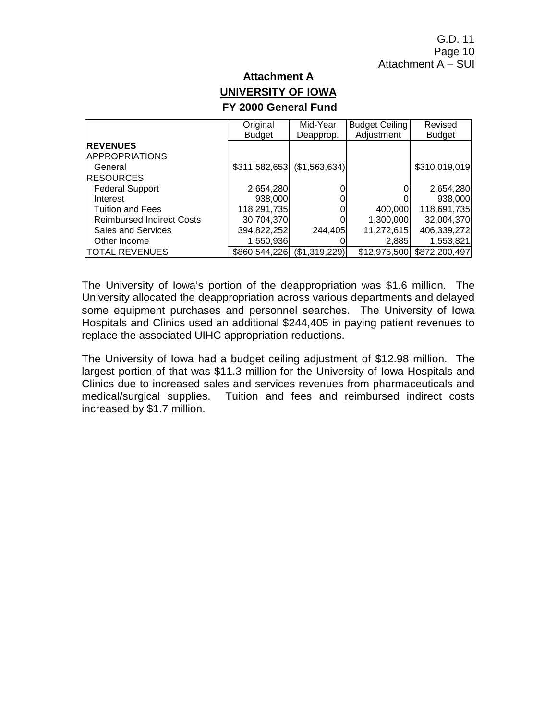G.D. 11 Page 10 Attachment A – SUI

# **Attachment A UNIVERSITY OF IOWA FY 2000 General Fund**

|                                  | Original      | Mid-Year      | <b>Budget Ceiling</b> | Revised       |
|----------------------------------|---------------|---------------|-----------------------|---------------|
|                                  | <b>Budget</b> | Deapprop.     | Adjustment            | <b>Budget</b> |
| <b>REVENUES</b>                  |               |               |                       |               |
| <b>APPROPRIATIONS</b>            |               |               |                       |               |
| General                          | \$311,582,653 | (\$1,563,634) |                       | \$310,019,019 |
| <b>RESOURCES</b>                 |               |               |                       |               |
| <b>Federal Support</b>           | 2,654,280     |               |                       | 2,654,280     |
| Interest                         | 938,000       |               |                       | 938,000       |
| <b>Tuition and Fees</b>          | 118,291,735   |               | 400,000               | 118,691,735   |
| <b>Reimbursed Indirect Costs</b> | 30,704,370    |               | 1,300,000             | 32,004,370    |
| <b>Sales and Services</b>        | 394,822,252   | 244,405       | 11,272,615            | 406,339,272   |
| Other Income                     | 1,550,936     |               | 2,885                 | 1,553,821     |
| <b>TOTAL REVENUES</b>            | \$860,544,226 | (\$1,319,229) | \$12,975,500          | \$872,200,497 |

The University of Iowa's portion of the deappropriation was \$1.6 million. The University allocated the deappropriation across various departments and delayed some equipment purchases and personnel searches. The University of Iowa Hospitals and Clinics used an additional \$244,405 in paying patient revenues to replace the associated UIHC appropriation reductions.

The University of Iowa had a budget ceiling adjustment of \$12.98 million. The largest portion of that was \$11.3 million for the University of Iowa Hospitals and Clinics due to increased sales and services revenues from pharmaceuticals and medical/surgical supplies. Tuition and fees and reimbursed indirect costs increased by \$1.7 million.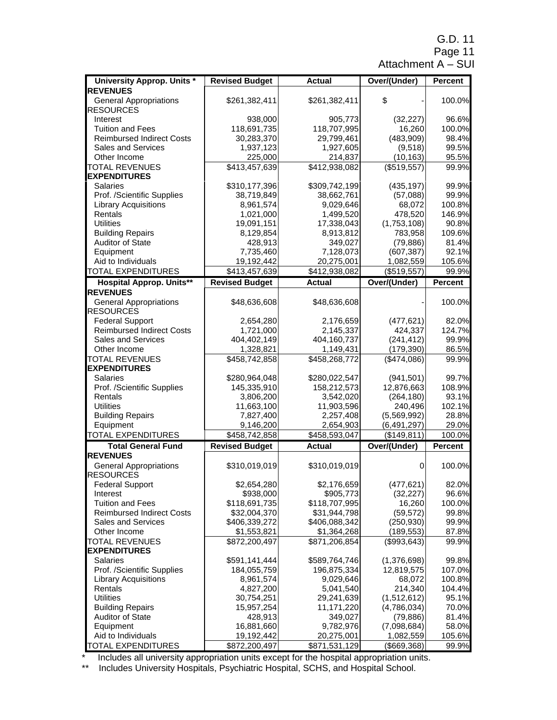G.D. 11 Page 11

| Attachment A - SUI |  |
|--------------------|--|
|--------------------|--|

|                                   |                       |               | Over/(Under)   |                |
|-----------------------------------|-----------------------|---------------|----------------|----------------|
| <b>University Approp. Units *</b> | <b>Revised Budget</b> | <b>Actual</b> |                | <b>Percent</b> |
| <b>REVENUES</b>                   |                       |               |                |                |
| <b>General Appropriations</b>     | \$261,382,411         | \$261,382,411 | \$             | 100.0%         |
| <b>RESOURCES</b>                  |                       |               |                |                |
| Interest                          | 938,000               | 905,773       | (32, 227)      | 96.6%          |
| <b>Tuition and Fees</b>           | 118,691,735           | 118,707,995   | 16,260         | 100.0%         |
| <b>Reimbursed Indirect Costs</b>  | 30,283,370            | 29,799,461    | (483,909)      | 98.4%          |
| <b>Sales and Services</b>         | 1,937,123             | 1,927,605     | (9, 518)       | 99.5%          |
| Other Income                      | 225,000               | 214,837       | (10, 163)      | 95.5%          |
| <b>TOTAL REVENUES</b>             | \$413,457,639         | \$412,938,082 | (\$519,557)    | 99.9%          |
| <b>EXPENDITURES</b>               |                       |               |                |                |
| <b>Salaries</b>                   | \$310,177,396         | \$309,742,199 |                | 99.9%          |
|                                   |                       |               | (435, 197)     |                |
| Prof. /Scientific Supplies        | 38,719,849            | 38,662,761    | (57,088)       | 99.9%          |
| <b>Library Acquisitions</b>       | 8,961,574             | 9,029,646     | 68,072         | 100.8%         |
| Rentals                           | 1,021,000             | 1,499,520     | 478,520        | 146.9%         |
| <b>Utilities</b>                  | 19,091,151            | 17,338,043    | (1,753,108)    | 90.8%          |
| <b>Building Repairs</b>           | 8,129,854             | 8,913,812     | 783,958        | 109.6%         |
| <b>Auditor of State</b>           | 428,913               | 349,027       | (79, 886)      | 81.4%          |
| Equipment                         | 7,735,460             | 7,128,073     | (607, 387)     | 92.1%          |
| Aid to Individuals                | 19,192,442            | 20,275,001    | 1,082,559      | 105.6%         |
| <b>TOTAL EXPENDITURES</b>         | \$413,457,639         | \$412,938,082 | (\$519,557)    | 99.9%          |
|                                   | <b>Revised Budget</b> | <b>Actual</b> | Over/(Under)   | <b>Percent</b> |
| <b>Hospital Approp. Units**</b>   |                       |               |                |                |
| <b>REVENUES</b>                   |                       |               |                |                |
| <b>General Appropriations</b>     | \$48,636,608          | \$48,636,608  |                | 100.0%         |
| <b>RESOURCES</b>                  |                       |               |                |                |
| <b>Federal Support</b>            | 2,654,280             | 2,176,659     | (477, 621)     | 82.0%          |
| <b>Reimbursed Indirect Costs</b>  | 1,721,000             | 2,145,337     | 424,337        | 124.7%         |
| Sales and Services                | 404,402,149           | 404,160,737   | (241, 412)     | 99.9%          |
| Other Income                      | 1,328,821             | 1,149,431     | (179, 390)     | 86.5%          |
| <b>TOTAL REVENUES</b>             | \$458,742,858         | \$458,268,772 | $($ \$474,086) | 99.9%          |
| <b>EXPENDITURES</b>               |                       |               |                |                |
| <b>Salaries</b>                   | \$280,964,048         | \$280,022,547 | (941, 501)     | 99.7%          |
| Prof. /Scientific Supplies        | 145,335,910           | 158,212,573   | 12,876,663     | 108.9%         |
|                                   |                       |               |                |                |
| Rentals                           | 3,806,200             | 3,542,020     | (264, 180)     | 93.1%          |
| <b>Utilities</b>                  | 11,663,100            | 11,903,596    | 240,496        | 102.1%         |
| <b>Building Repairs</b>           | 7,827,400             | 2,257,408     | (5,569,992)    | 28.8%          |
| Equipment                         | 9,146,200             | 2,654,903     | (6, 491, 297)  | 29.0%          |
| <b>TOTAL EXPENDITURES</b>         | \$458,742,858         | \$458,593,047 | (\$149, 811)   | 100.0%         |
| <b>Total General Fund</b>         | <b>Revised Budget</b> | <b>Actual</b> | Over/(Under)   | <b>Percent</b> |
| <b>REVENUES</b>                   |                       |               |                |                |
| <b>General Appropriations</b>     | \$310,019,019         | \$310,019,019 | 0              | 100.0%         |
| <b>RESOURCES</b>                  |                       |               |                |                |
| <b>Federal Support</b>            | \$2,654,280           | \$2,176,659   | (477, 621)     | 82.0%          |
|                                   |                       |               |                |                |
| Interest                          | \$938,000             | \$905,773     | (32, 227)      | 96.6%          |
| <b>Tuition and Fees</b>           | \$118,691,735         | \$118,707,995 | 16,260         | 100.0%         |
| <b>Reimbursed Indirect Costs</b>  | \$32,004,370          | \$31,944,798  | (59, 572)      | 99.8%          |
| Sales and Services                | \$406,339,272         | \$406,088,342 | (250, 930)     | 99.9%          |
| Other Income                      | \$1,553,821           | \$1,364,268   | (189, 553)     | 87.8%          |
| <b>TOTAL REVENUES</b>             | \$872,200,497         | \$871,206,854 | (\$993,643)    | 99.9%          |
| <b>EXPENDITURES</b>               |                       |               |                |                |
| <b>Salaries</b>                   | \$591,141,444         | \$589,764,746 | (1,376,698)    | 99.8%          |
| Prof. /Scientific Supplies        | 184,055,759           | 196,875,334   | 12,819,575     | 107.0%         |
| <b>Library Acquisitions</b>       | 8,961,574             | 9,029,646     | 68,072         | 100.8%         |
| Rentals                           | 4,827,200             | 5,041,540     | 214,340        | 104.4%         |
|                                   |                       |               |                |                |
| <b>Utilities</b>                  | 30,754,251            | 29,241,639    | (1,512,612)    | 95.1%          |
| <b>Building Repairs</b>           | 15,957,254            | 11,171,220    | (4,786,034)    | 70.0%          |
| <b>Auditor of State</b>           | 428,913               | 349,027       | (79, 886)      | 81.4%          |
| Equipment                         | 16,881,660            | 9,782,976     | (7,098,684)    | 58.0%          |
| Aid to Individuals                | 19,192,442            | 20,275,001    | 1,082,559      | 105.6%         |
| TOTAL EXPENDITURES                | \$872,200,497         | \$871,531,129 | (\$669,368)    | 99.9%          |

\* Includes all university appropriation units except for the hospital appropriation units.

\*\* Includes University Hospitals, Psychiatric Hospital, SCHS, and Hospital School.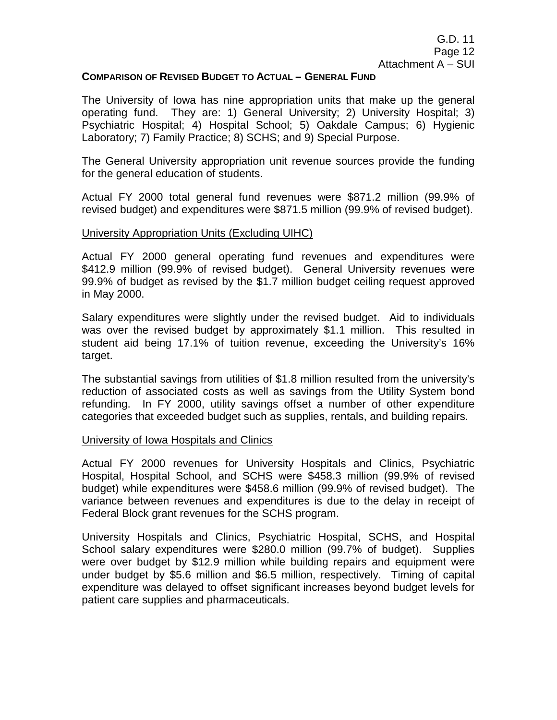#### **COMPARISON OF REVISED BUDGET TO ACTUAL – GENERAL FUND**

The University of Iowa has nine appropriation units that make up the general operating fund. They are: 1) General University; 2) University Hospital; 3) Psychiatric Hospital; 4) Hospital School; 5) Oakdale Campus; 6) Hygienic Laboratory; 7) Family Practice; 8) SCHS; and 9) Special Purpose.

The General University appropriation unit revenue sources provide the funding for the general education of students.

Actual FY 2000 total general fund revenues were \$871.2 million (99.9% of revised budget) and expenditures were \$871.5 million (99.9% of revised budget).

#### University Appropriation Units (Excluding UIHC)

Actual FY 2000 general operating fund revenues and expenditures were \$412.9 million (99.9% of revised budget). General University revenues were 99.9% of budget as revised by the \$1.7 million budget ceiling request approved in May 2000.

Salary expenditures were slightly under the revised budget. Aid to individuals was over the revised budget by approximately \$1.1 million. This resulted in student aid being 17.1% of tuition revenue, exceeding the University's 16% target.

The substantial savings from utilities of \$1.8 million resulted from the university's reduction of associated costs as well as savings from the Utility System bond refunding. In FY 2000, utility savings offset a number of other expenditure categories that exceeded budget such as supplies, rentals, and building repairs.

#### University of Iowa Hospitals and Clinics

Actual FY 2000 revenues for University Hospitals and Clinics, Psychiatric Hospital, Hospital School, and SCHS were \$458.3 million (99.9% of revised budget) while expenditures were \$458.6 million (99.9% of revised budget). The variance between revenues and expenditures is due to the delay in receipt of Federal Block grant revenues for the SCHS program.

University Hospitals and Clinics, Psychiatric Hospital, SCHS, and Hospital School salary expenditures were \$280.0 million (99.7% of budget). Supplies were over budget by \$12.9 million while building repairs and equipment were under budget by \$5.6 million and \$6.5 million, respectively. Timing of capital expenditure was delayed to offset significant increases beyond budget levels for patient care supplies and pharmaceuticals.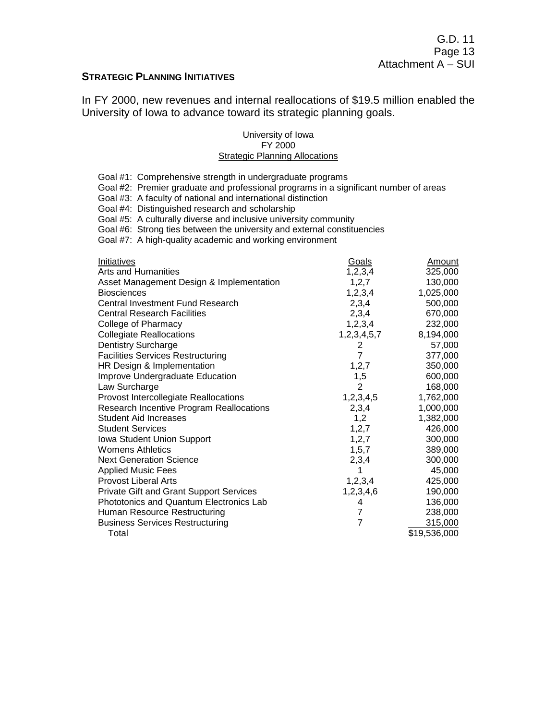#### **STRATEGIC PLANNING INITIATIVES**

In FY 2000, new revenues and internal reallocations of \$19.5 million enabled the University of Iowa to advance toward its strategic planning goals.

#### University of Iowa FY 2000 Strategic Planning Allocations

Goal #1: Comprehensive strength in undergraduate programs

Goal #2: Premier graduate and professional programs in a significant number of areas

Goal #3: A faculty of national and international distinction

Goal #4: Distinguished research and scholarship

Goal #5: A culturally diverse and inclusive university community

Goal #6: Strong ties between the university and external constituencies

Goal #7: A high-quality academic and working environment

| Initiatives                                    | <b>Goals</b>     | <b>Amount</b> |
|------------------------------------------------|------------------|---------------|
| <b>Arts and Humanities</b>                     | 1,2,3,4          | 325,000       |
| Asset Management Design & Implementation       | 1, 2, 7          | 130,000       |
| <b>Biosciences</b>                             | 1,2,3,4          | 1,025,000     |
| <b>Central Investment Fund Research</b>        | 2,3,4            | 500,000       |
| <b>Central Research Facilities</b>             | 2,3,4            | 670,000       |
| College of Pharmacy                            | 1,2,3,4          | 232,000       |
| <b>Collegiate Reallocations</b>                | 1, 2, 3, 4, 5, 7 | 8,194,000     |
| <b>Dentistry Surcharge</b>                     | 2                | 57,000        |
| <b>Facilities Services Restructuring</b>       | $\overline{7}$   | 377,000       |
| HR Design & Implementation                     | 1, 2, 7          | 350,000       |
| Improve Undergraduate Education                | 1,5              | 600,000       |
| Law Surcharge                                  | $\overline{2}$   | 168,000       |
| Provost Intercollegiate Reallocations          | 1,2,3,4,5        | 1,762,000     |
| Research Incentive Program Reallocations       | 2,3,4            | 1,000,000     |
| <b>Student Aid Increases</b>                   | 1,2              | 1,382,000     |
| <b>Student Services</b>                        | 1, 2, 7          | 426,000       |
| Iowa Student Union Support                     | 1, 2, 7          | 300,000       |
| <b>Womens Athletics</b>                        | 1, 5, 7          | 389,000       |
| <b>Next Generation Science</b>                 | 2,3,4            | 300,000       |
| <b>Applied Music Fees</b>                      | 1                | 45,000        |
| <b>Provost Liberal Arts</b>                    | 1,2,3,4          | 425,000       |
| <b>Private Gift and Grant Support Services</b> | 1,2,3,4,6        | 190,000       |
| <b>Phototonics and Quantum Electronics Lab</b> | 4                | 136,000       |
| Human Resource Restructuring                   | 7                | 238,000       |
| <b>Business Services Restructuring</b>         | $\overline{7}$   | 315,000       |
| Total                                          |                  | \$19,536,000  |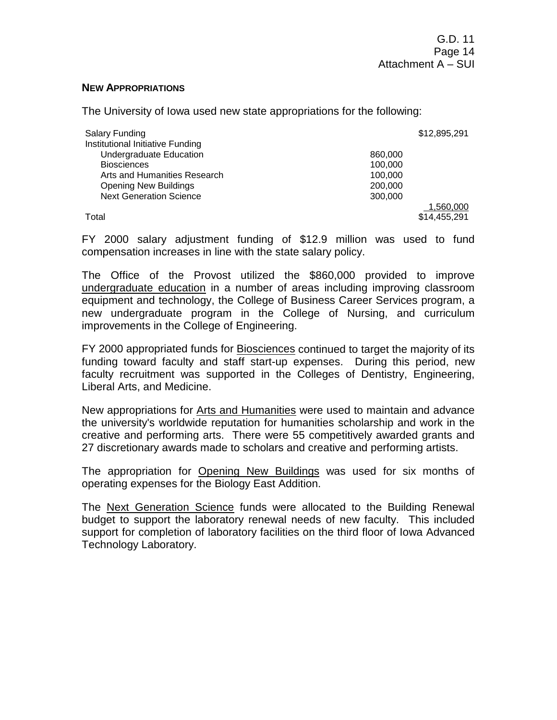#### **NEW APPROPRIATIONS**

The University of Iowa used new state appropriations for the following:

| Salary Funding                   |         | \$12,895,291 |
|----------------------------------|---------|--------------|
| Institutional Initiative Funding |         |              |
| <b>Undergraduate Education</b>   | 860,000 |              |
| <b>Biosciences</b>               | 100,000 |              |
| Arts and Humanities Research     | 100,000 |              |
| <b>Opening New Buildings</b>     | 200,000 |              |
| <b>Next Generation Science</b>   | 300,000 |              |
|                                  |         | 1,560,000    |
| Total                            |         | \$14,455,291 |

FY 2000 salary adjustment funding of \$12.9 million was used to fund compensation increases in line with the state salary policy.

The Office of the Provost utilized the \$860,000 provided to improve undergraduate education in a number of areas including improving classroom equipment and technology, the College of Business Career Services program, a new undergraduate program in the College of Nursing, and curriculum improvements in the College of Engineering.

FY 2000 appropriated funds for Biosciences continued to target the majority of its funding toward faculty and staff start-up expenses. During this period, new faculty recruitment was supported in the Colleges of Dentistry, Engineering, Liberal Arts, and Medicine.

New appropriations for Arts and Humanities were used to maintain and advance the university's worldwide reputation for humanities scholarship and work in the creative and performing arts. There were 55 competitively awarded grants and 27 discretionary awards made to scholars and creative and performing artists.

The appropriation for Opening New Buildings was used for six months of operating expenses for the Biology East Addition.

The Next Generation Science funds were allocated to the Building Renewal budget to support the laboratory renewal needs of new faculty. This included support for completion of laboratory facilities on the third floor of Iowa Advanced Technology Laboratory.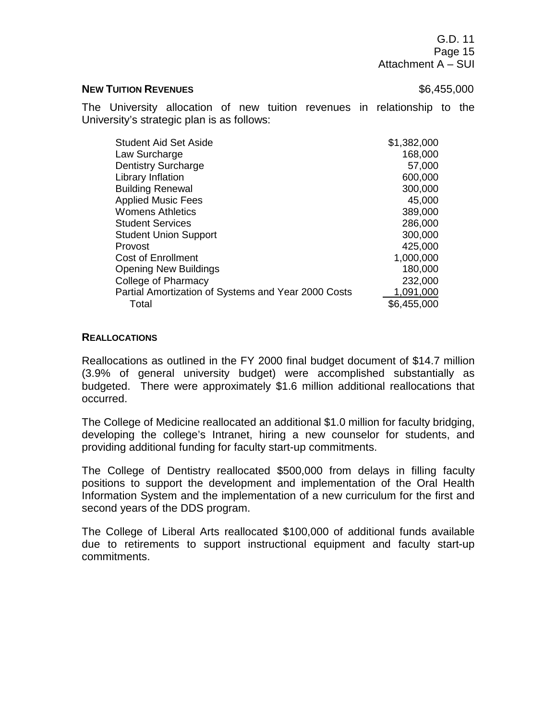G.D. 11 Page 15 Attachment A – SUI

#### **NEW TUITION REVENUES 1999 1999 1999 1999 1999 1999 1999 1999 1999 1999 1999 1999 1999 1999 1999 1999 1999 1999 1999 1999 1999 1999 1999 1999 1999 1999 1999 1999 19**

The University allocation of new tuition revenues in relationship to the University's strategic plan is as follows:

| <b>Student Aid Set Aside</b>                        | \$1,382,000 |
|-----------------------------------------------------|-------------|
| Law Surcharge                                       | 168,000     |
| <b>Dentistry Surcharge</b>                          | 57,000      |
| Library Inflation                                   | 600,000     |
| <b>Building Renewal</b>                             | 300,000     |
| <b>Applied Music Fees</b>                           | 45,000      |
| <b>Womens Athletics</b>                             | 389,000     |
| <b>Student Services</b>                             | 286,000     |
| <b>Student Union Support</b>                        | 300,000     |
| Provost                                             | 425,000     |
| <b>Cost of Enrollment</b>                           | 1,000,000   |
| <b>Opening New Buildings</b>                        | 180,000     |
| College of Pharmacy                                 | 232,000     |
| Partial Amortization of Systems and Year 2000 Costs | 1,091,000   |
| Total                                               | \$6,455,000 |

#### **REALLOCATIONS**

Reallocations as outlined in the FY 2000 final budget document of \$14.7 million (3.9% of general university budget) were accomplished substantially as budgeted. There were approximately \$1.6 million additional reallocations that occurred.

The College of Medicine reallocated an additional \$1.0 million for faculty bridging, developing the college's Intranet, hiring a new counselor for students, and providing additional funding for faculty start-up commitments.

The College of Dentistry reallocated \$500,000 from delays in filling faculty positions to support the development and implementation of the Oral Health Information System and the implementation of a new curriculum for the first and second years of the DDS program.

The College of Liberal Arts reallocated \$100,000 of additional funds available due to retirements to support instructional equipment and faculty start-up commitments.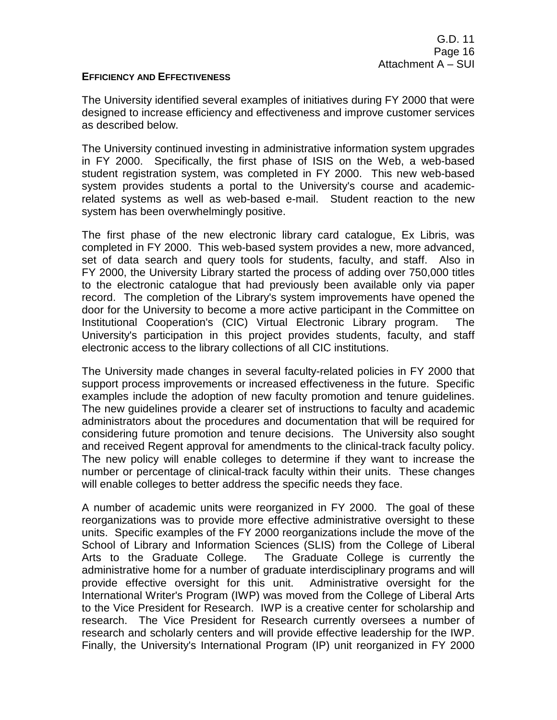#### **EFFICIENCY AND EFFECTIVENESS**

The University identified several examples of initiatives during FY 2000 that were designed to increase efficiency and effectiveness and improve customer services as described below.

The University continued investing in administrative information system upgrades in FY 2000. Specifically, the first phase of ISIS on the Web, a web-based student registration system, was completed in FY 2000. This new web-based system provides students a portal to the University's course and academicrelated systems as well as web-based e-mail. Student reaction to the new system has been overwhelmingly positive.

The first phase of the new electronic library card catalogue, Ex Libris, was completed in FY 2000. This web-based system provides a new, more advanced, set of data search and query tools for students, faculty, and staff. Also in FY 2000, the University Library started the process of adding over 750,000 titles to the electronic catalogue that had previously been available only via paper record. The completion of the Library's system improvements have opened the door for the University to become a more active participant in the Committee on Institutional Cooperation's (CIC) Virtual Electronic Library program. The University's participation in this project provides students, faculty, and staff electronic access to the library collections of all CIC institutions.

The University made changes in several faculty-related policies in FY 2000 that support process improvements or increased effectiveness in the future. Specific examples include the adoption of new faculty promotion and tenure guidelines. The new guidelines provide a clearer set of instructions to faculty and academic administrators about the procedures and documentation that will be required for considering future promotion and tenure decisions. The University also sought and received Regent approval for amendments to the clinical-track faculty policy. The new policy will enable colleges to determine if they want to increase the number or percentage of clinical-track faculty within their units. These changes will enable colleges to better address the specific needs they face.

A number of academic units were reorganized in FY 2000. The goal of these reorganizations was to provide more effective administrative oversight to these units. Specific examples of the FY 2000 reorganizations include the move of the School of Library and Information Sciences (SLIS) from the College of Liberal Arts to the Graduate College. The Graduate College is currently the administrative home for a number of graduate interdisciplinary programs and will provide effective oversight for this unit. Administrative oversight for the International Writer's Program (IWP) was moved from the College of Liberal Arts to the Vice President for Research. IWP is a creative center for scholarship and research. The Vice President for Research currently oversees a number of research and scholarly centers and will provide effective leadership for the IWP. Finally, the University's International Program (IP) unit reorganized in FY 2000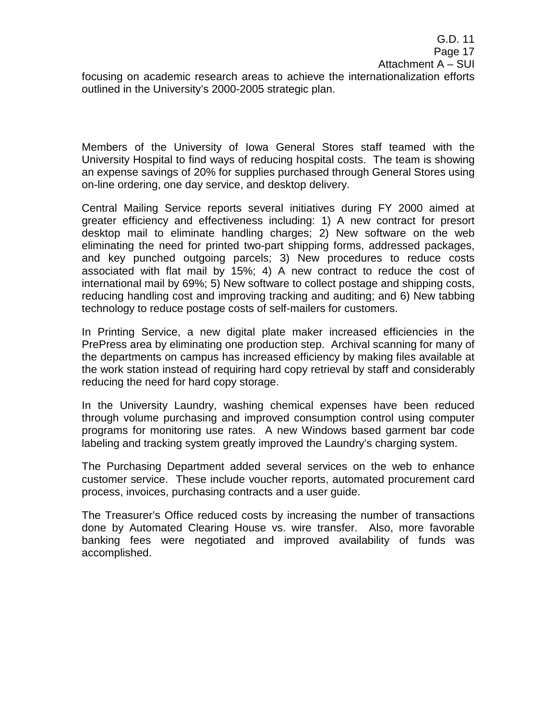focusing on academic research areas to achieve the internationalization efforts outlined in the University's 2000-2005 strategic plan.

Members of the University of Iowa General Stores staff teamed with the University Hospital to find ways of reducing hospital costs. The team is showing an expense savings of 20% for supplies purchased through General Stores using on-line ordering, one day service, and desktop delivery.

Central Mailing Service reports several initiatives during FY 2000 aimed at greater efficiency and effectiveness including: 1) A new contract for presort desktop mail to eliminate handling charges; 2) New software on the web eliminating the need for printed two-part shipping forms, addressed packages, and key punched outgoing parcels; 3) New procedures to reduce costs associated with flat mail by 15%; 4) A new contract to reduce the cost of international mail by 69%; 5) New software to collect postage and shipping costs, reducing handling cost and improving tracking and auditing; and 6) New tabbing technology to reduce postage costs of self-mailers for customers.

In Printing Service, a new digital plate maker increased efficiencies in the PrePress area by eliminating one production step. Archival scanning for many of the departments on campus has increased efficiency by making files available at the work station instead of requiring hard copy retrieval by staff and considerably reducing the need for hard copy storage.

In the University Laundry, washing chemical expenses have been reduced through volume purchasing and improved consumption control using computer programs for monitoring use rates. A new Windows based garment bar code labeling and tracking system greatly improved the Laundry's charging system.

The Purchasing Department added several services on the web to enhance customer service. These include voucher reports, automated procurement card process, invoices, purchasing contracts and a user guide.

The Treasurer's Office reduced costs by increasing the number of transactions done by Automated Clearing House vs. wire transfer. Also, more favorable banking fees were negotiated and improved availability of funds was accomplished.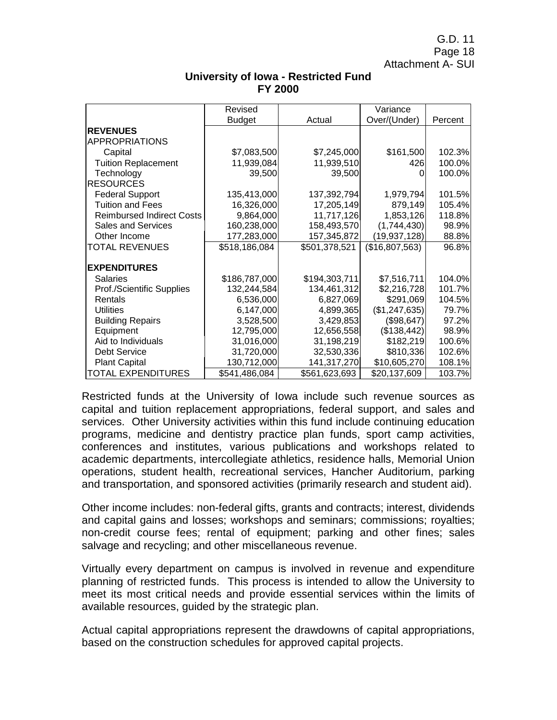G.D. 11 Page 18 Attachment A- SUI

|                                  | Revised       |               | Variance       |         |
|----------------------------------|---------------|---------------|----------------|---------|
|                                  | <b>Budget</b> | Actual        | Over/(Under)   | Percent |
| <b>REVENUES</b>                  |               |               |                |         |
| <b>APPROPRIATIONS</b>            |               |               |                |         |
| Capital                          | \$7,083,500   | \$7,245,000   | \$161,500      | 102.3%  |
| <b>Tuition Replacement</b>       | 11,939,084    | 11,939,510    | 426            | 100.0%  |
| Technology                       | 39,500        | 39,500        | O              | 100.0%  |
| <b>RESOURCES</b>                 |               |               |                |         |
| <b>Federal Support</b>           | 135,413,000   | 137,392,794   | 1,979,794      | 101.5%  |
| <b>Tuition and Fees</b>          | 16,326,000    | 17,205,149    | 879,149        | 105.4%  |
| <b>Reimbursed Indirect Costs</b> | 9,864,000     | 11,717,126    | 1,853,126      | 118.8%  |
| <b>Sales and Services</b>        | 160,238,000   | 158,493,570   | (1,744,430)    | 98.9%   |
| Other Income                     | 177,283,000   | 157,345,872   | (19, 937, 128) | 88.8%   |
| <b>TOTAL REVENUES</b>            | \$518,186,084 | \$501,378,521 | (\$16,807,563) | 96.8%   |
|                                  |               |               |                |         |
| <b>EXPENDITURES</b>              |               |               |                |         |
| <b>Salaries</b>                  | \$186,787,000 | \$194,303,711 | \$7,516,711    | 104.0%  |
| Prof./Scientific Supplies        | 132,244,584   | 134,461,312   | \$2,216,728    | 101.7%  |
| Rentals                          | 6,536,000     | 6,827,069     | \$291,069      | 104.5%  |
| <b>Utilities</b>                 | 6,147,000     | 4,899,365     | (\$1,247,635)  | 79.7%   |
| <b>Building Repairs</b>          | 3,528,500     | 3,429,853     | (\$98,647)     | 97.2%   |
| Equipment                        | 12,795,000    | 12,656,558    | (\$138,442)    | 98.9%   |
| Aid to Individuals               | 31,016,000    | 31,198,219    | \$182,219      | 100.6%  |
| <b>Debt Service</b>              | 31,720,000    | 32,530,336    | \$810,336      | 102.6%  |
| <b>Plant Capital</b>             | 130,712,000   | 141,317,270   | \$10,605,270   | 108.1%  |
| <b>TOTAL EXPENDITURES</b>        | \$541,486,084 | \$561,623,693 | \$20,137,609   | 103.7%  |

### **University of Iowa - Restricted Fund FY 2000**

Restricted funds at the University of Iowa include such revenue sources as capital and tuition replacement appropriations, federal support, and sales and services. Other University activities within this fund include continuing education programs, medicine and dentistry practice plan funds, sport camp activities, conferences and institutes, various publications and workshops related to academic departments, intercollegiate athletics, residence halls, Memorial Union operations, student health, recreational services, Hancher Auditorium, parking and transportation, and sponsored activities (primarily research and student aid).

Other income includes: non-federal gifts, grants and contracts; interest, dividends and capital gains and losses; workshops and seminars; commissions; royalties; non-credit course fees; rental of equipment; parking and other fines; sales salvage and recycling; and other miscellaneous revenue.

Virtually every department on campus is involved in revenue and expenditure planning of restricted funds. This process is intended to allow the University to meet its most critical needs and provide essential services within the limits of available resources, guided by the strategic plan.

Actual capital appropriations represent the drawdowns of capital appropriations, based on the construction schedules for approved capital projects.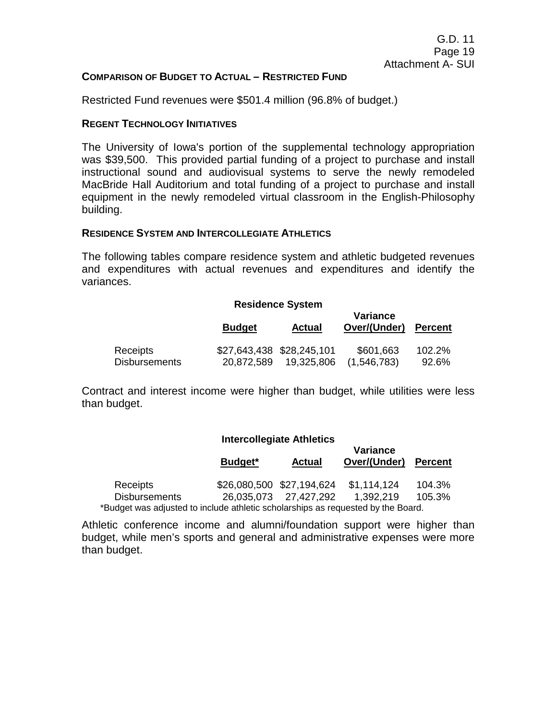#### **COMPARISON OF BUDGET TO ACTUAL – RESTRICTED FUND**

Restricted Fund revenues were \$501.4 million (96.8% of budget.)

#### **REGENT TECHNOLOGY INITIATIVES**

The University of Iowa's portion of the supplemental technology appropriation was \$39,500. This provided partial funding of a project to purchase and install instructional sound and audiovisual systems to serve the newly remodeled MacBride Hall Auditorium and total funding of a project to purchase and install equipment in the newly remodeled virtual classroom in the English-Philosophy building.

#### **RESIDENCE SYSTEM AND INTERCOLLEGIATE ATHLETICS**

The following tables compare residence system and athletic budgeted revenues and expenditures with actual revenues and expenditures and identify the variances.

#### **Residence System**

|                      | <b>Budget</b>             | <b>Actual</b> | <b>Variance</b><br>Over/(Under) | <b>Percent</b> |
|----------------------|---------------------------|---------------|---------------------------------|----------------|
| Receipts             | \$27,643,438 \$28,245,101 |               | \$601,663                       | 102.2%         |
| <b>Disbursements</b> | 20,872,589                | 19,325,806    | (1, 546, 783)                   | 92.6%          |

Contract and interest income were higher than budget, while utilities were less than budget.

#### **Intercollegiate Athletics**

|                                                                                  | Budget* | <b>Actual</b>             | <b>Variance</b><br>Over/(Under) | <b>Percent</b> |
|----------------------------------------------------------------------------------|---------|---------------------------|---------------------------------|----------------|
|                                                                                  |         |                           |                                 |                |
| Receipts                                                                         |         | \$26,080,500 \$27,194,624 | \$1.114.124                     | 104.3%         |
| <b>Disbursements</b>                                                             |         | 26,035,073 27,427,292     | 1.392.219                       | 105.3%         |
| *Budget was adjusted to include athletic scholarships as requested by the Board. |         |                           |                                 |                |

Athletic conference income and alumni/foundation support were higher than budget, while men's sports and general and administrative expenses were more than budget.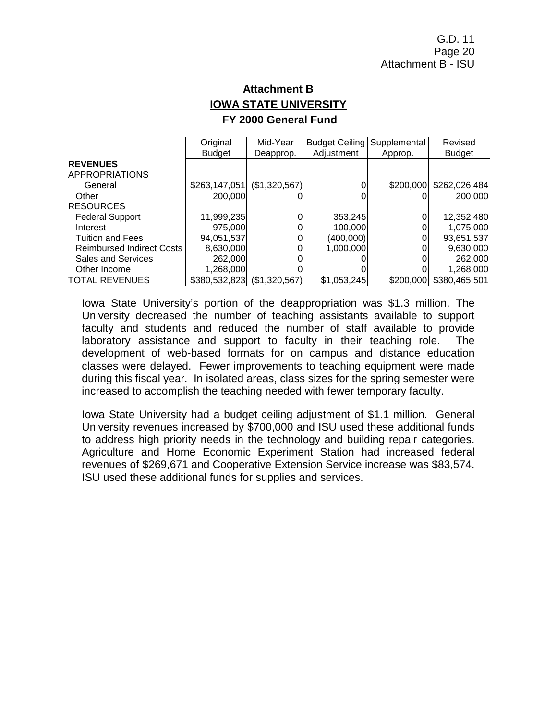# **Attachment B IOWA STATE UNIVERSITY FY 2000 General Fund**

|                                  | Original      | Mid-Year      | Budget Ceiling | Supplemental | Revised       |
|----------------------------------|---------------|---------------|----------------|--------------|---------------|
|                                  | <b>Budget</b> | Deapprop.     | Adjustment     | Approp.      | <b>Budget</b> |
| <b>REVENUES</b>                  |               |               |                |              |               |
| <b>APPROPRIATIONS</b>            |               |               |                |              |               |
| General                          | \$263,147,051 | (\$1,320,567) | 0              | \$200,000    | \$262,026,484 |
| Other                            | 200,000       |               | 0              |              | 200,000       |
| <b>RESOURCES</b>                 |               |               |                |              |               |
| <b>Federal Support</b>           | 11,999,235    |               | 353,245        |              | 12,352,480    |
| Interest                         | 975,000       |               | 100,000        |              | 1,075,000     |
| <b>Tuition and Fees</b>          | 94,051,537    |               | (400,000)      |              | 93,651,537    |
| <b>Reimbursed Indirect Costs</b> | 8,630,000     |               | 1,000,000      |              | 9,630,000     |
| Sales and Services               | 262,000       |               |                |              | 262,000       |
| Other Income                     | 1,268,000     |               |                |              | 1,268,000     |
| <b>TOTAL REVENUES</b>            | \$380,532,823 | (\$1,320,567) | \$1,053,245    | \$200,000    | \$380,465,501 |

Iowa State University's portion of the deappropriation was \$1.3 million. The University decreased the number of teaching assistants available to support faculty and students and reduced the number of staff available to provide laboratory assistance and support to faculty in their teaching role. The development of web-based formats for on campus and distance education classes were delayed. Fewer improvements to teaching equipment were made during this fiscal year. In isolated areas, class sizes for the spring semester were increased to accomplish the teaching needed with fewer temporary faculty.

Iowa State University had a budget ceiling adjustment of \$1.1 million. General University revenues increased by \$700,000 and ISU used these additional funds to address high priority needs in the technology and building repair categories. Agriculture and Home Economic Experiment Station had increased federal revenues of \$269,671 and Cooperative Extension Service increase was \$83,574. ISU used these additional funds for supplies and services.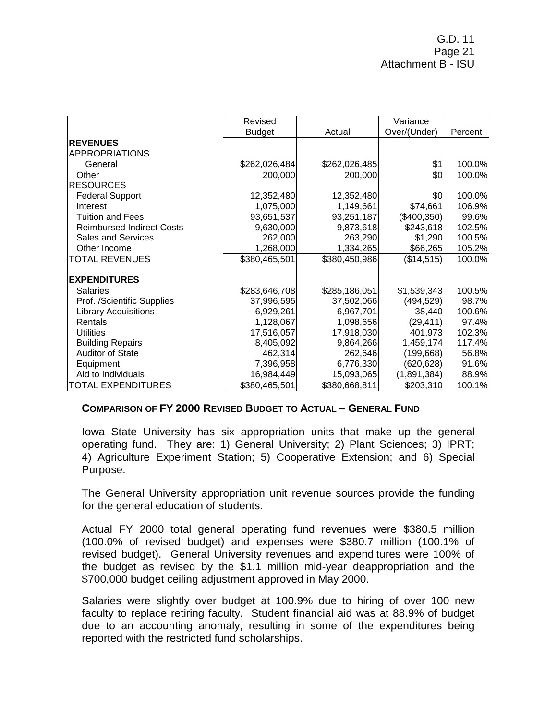|                                  | Revised       |               | Variance     |         |
|----------------------------------|---------------|---------------|--------------|---------|
|                                  | <b>Budget</b> | Actual        | Over/(Under) | Percent |
| <b>REVENUES</b>                  |               |               |              |         |
| <b>APPROPRIATIONS</b>            |               |               |              |         |
| General                          | \$262,026,484 | \$262,026,485 | \$1          | 100.0%  |
| Other                            | 200,000       | 200,000       | \$0          | 100.0%  |
| <b>RESOURCES</b>                 |               |               |              |         |
| <b>Federal Support</b>           | 12,352,480    | 12,352,480    | \$0          | 100.0%  |
| Interest                         | 1,075,000     | 1,149,661     | \$74,661     | 106.9%  |
| <b>Tuition and Fees</b>          | 93,651,537    | 93,251,187    | (\$400,350)  | 99.6%   |
| <b>Reimbursed Indirect Costs</b> | 9,630,000     | 9,873,618     | \$243,618    | 102.5%  |
| <b>Sales and Services</b>        | 262,000       | 263,290       | \$1,290      | 100.5%  |
| Other Income                     | 1,268,000     | 1,334,265     | \$66,265     | 105.2%  |
| <b>TOTAL REVENUES</b>            | \$380,465,501 | \$380,450,986 | (\$14,515)   | 100.0%  |
| <b>EXPENDITURES</b>              |               |               |              |         |
| Salaries                         | \$283,646,708 | \$285,186,051 | \$1,539,343  | 100.5%  |
| Prof. /Scientific Supplies       | 37,996,595    | 37,502,066    | (494, 529)   | 98.7%   |
| <b>Library Acquisitions</b>      | 6,929,261     | 6,967,701     | 38,440       | 100.6%  |
| Rentals                          | 1,128,067     | 1,098,656     | (29, 411)    | 97.4%   |
| <b>Utilities</b>                 | 17,516,057    | 17,918,030    | 401,973      | 102.3%  |
| <b>Building Repairs</b>          | 8,405,092     | 9,864,266     | 1,459,174    | 117.4%  |
| <b>Auditor of State</b>          | 462,314       | 262,646       | (199, 668)   | 56.8%   |
| Equipment                        | 7,396,958     | 6,776,330     | (620, 628)   | 91.6%   |
| Aid to Individuals               | 16,984,449    | 15,093,065    | (1,891,384)  | 88.9%   |
| <b>TOTAL EXPENDITURES</b>        | \$380,465,501 | \$380,668,811 | \$203,310    | 100.1%  |

#### **COMPARISON OF FY 2000 REVISED BUDGET TO ACTUAL – GENERAL FUND**

Iowa State University has six appropriation units that make up the general operating fund. They are: 1) General University; 2) Plant Sciences; 3) IPRT; 4) Agriculture Experiment Station; 5) Cooperative Extension; and 6) Special Purpose.

The General University appropriation unit revenue sources provide the funding for the general education of students.

Actual FY 2000 total general operating fund revenues were \$380.5 million (100.0% of revised budget) and expenses were \$380.7 million (100.1% of revised budget). General University revenues and expenditures were 100% of the budget as revised by the \$1.1 million mid-year deappropriation and the \$700,000 budget ceiling adjustment approved in May 2000.

Salaries were slightly over budget at 100.9% due to hiring of over 100 new faculty to replace retiring faculty. Student financial aid was at 88.9% of budget due to an accounting anomaly, resulting in some of the expenditures being reported with the restricted fund scholarships.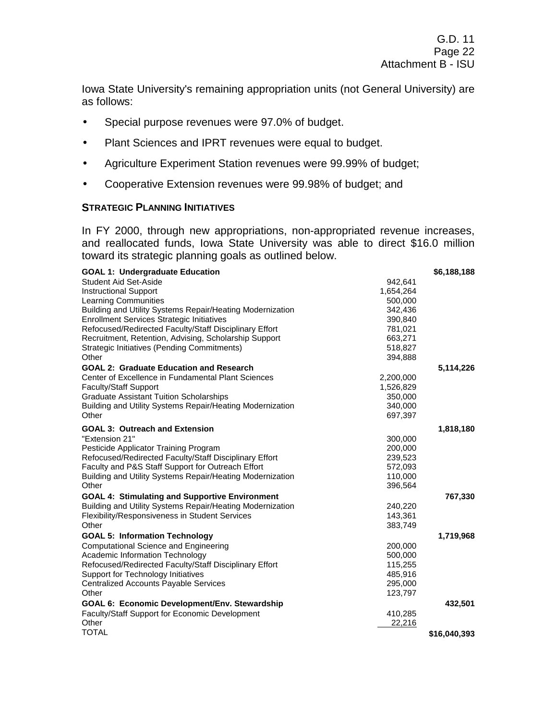Iowa State University's remaining appropriation units (not General University) are as follows:

- Special purpose revenues were 97.0% of budget.
- Plant Sciences and IPRT revenues were equal to budget.
- Agriculture Experiment Station revenues were 99.99% of budget;
- Cooperative Extension revenues were 99.98% of budget; and

#### **STRATEGIC PLANNING INITIATIVES**

In FY 2000, through new appropriations, non-appropriated revenue increases, and reallocated funds, Iowa State University was able to direct \$16.0 million toward its strategic planning goals as outlined below.

| <b>GOAL 1: Undergraduate Education</b>                    |           | \$6,188,188  |
|-----------------------------------------------------------|-----------|--------------|
| Student Aid Set-Aside                                     | 942,641   |              |
| <b>Instructional Support</b>                              | 1,654,264 |              |
| <b>Learning Communities</b>                               | 500,000   |              |
| Building and Utility Systems Repair/Heating Modernization | 342,436   |              |
| <b>Enrollment Services Strategic Initiatives</b>          | 390,840   |              |
| Refocused/Redirected Faculty/Staff Disciplinary Effort    | 781,021   |              |
| Recruitment, Retention, Advising, Scholarship Support     | 663,271   |              |
| Strategic Initiatives (Pending Commitments)               | 518,827   |              |
| Other                                                     | 394,888   |              |
| <b>GOAL 2: Graduate Education and Research</b>            |           | 5,114,226    |
| Center of Excellence in Fundamental Plant Sciences        | 2,200,000 |              |
| Faculty/Staff Support                                     | 1,526,829 |              |
| <b>Graduate Assistant Tuition Scholarships</b>            | 350,000   |              |
| Building and Utility Systems Repair/Heating Modernization | 340,000   |              |
| Other                                                     | 697,397   |              |
| <b>GOAL 3: Outreach and Extension</b>                     |           | 1,818,180    |
| "Extension 21"                                            | 300,000   |              |
| Pesticide Applicator Training Program                     | 200,000   |              |
| Refocused/Redirected Faculty/Staff Disciplinary Effort    | 239,523   |              |
| Faculty and P&S Staff Support for Outreach Effort         | 572,093   |              |
| Building and Utility Systems Repair/Heating Modernization | 110,000   |              |
| Other                                                     | 396,564   |              |
| <b>GOAL 4: Stimulating and Supportive Environment</b>     |           | 767,330      |
| Building and Utility Systems Repair/Heating Modernization | 240,220   |              |
| Flexibility/Responsiveness in Student Services            | 143,361   |              |
| Other                                                     | 383,749   |              |
| <b>GOAL 5: Information Technology</b>                     |           | 1,719,968    |
| Computational Science and Engineering                     | 200,000   |              |
| Academic Information Technology                           | 500,000   |              |
| Refocused/Redirected Faculty/Staff Disciplinary Effort    | 115,255   |              |
| Support for Technology Initiatives                        | 485,916   |              |
| <b>Centralized Accounts Payable Services</b>              | 295,000   |              |
| Other                                                     | 123,797   |              |
| GOAL 6: Economic Development/Env. Stewardship             |           | 432,501      |
| Faculty/Staff Support for Economic Development            | 410,285   |              |
| Other                                                     | 22,216    |              |
| <b>TOTAL</b>                                              |           | \$16,040,393 |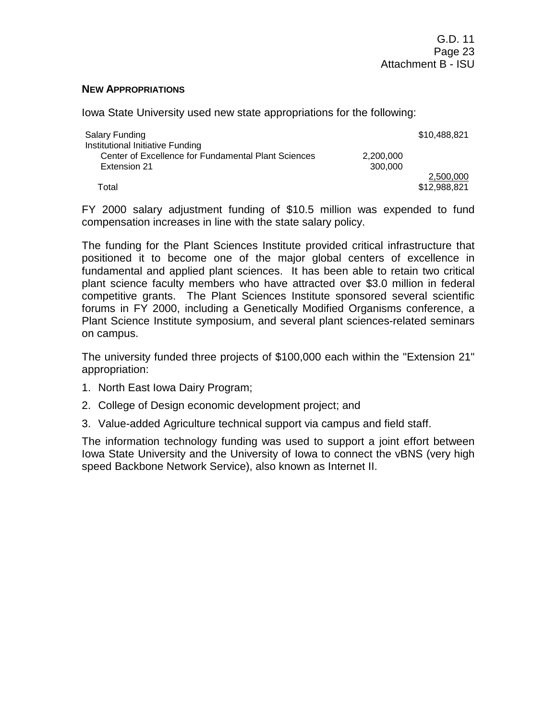#### **NEW APPROPRIATIONS**

Iowa State University used new state appropriations for the following:

| Salary Funding                                      |           | \$10,488,821 |
|-----------------------------------------------------|-----------|--------------|
| Institutional Initiative Funding                    |           |              |
| Center of Excellence for Fundamental Plant Sciences | 2,200,000 |              |
| Extension 21                                        | 300,000   |              |
|                                                     |           | 2,500,000    |
| Total                                               |           | \$12,988,821 |

FY 2000 salary adjustment funding of \$10.5 million was expended to fund compensation increases in line with the state salary policy.

The funding for the Plant Sciences Institute provided critical infrastructure that positioned it to become one of the major global centers of excellence in fundamental and applied plant sciences. It has been able to retain two critical plant science faculty members who have attracted over \$3.0 million in federal competitive grants. The Plant Sciences Institute sponsored several scientific forums in FY 2000, including a Genetically Modified Organisms conference, a Plant Science Institute symposium, and several plant sciences-related seminars on campus.

The university funded three projects of \$100,000 each within the "Extension 21" appropriation:

- 1. North East Iowa Dairy Program;
- 2. College of Design economic development project; and
- 3. Value-added Agriculture technical support via campus and field staff.

The information technology funding was used to support a joint effort between Iowa State University and the University of Iowa to connect the vBNS (very high speed Backbone Network Service), also known as Internet II.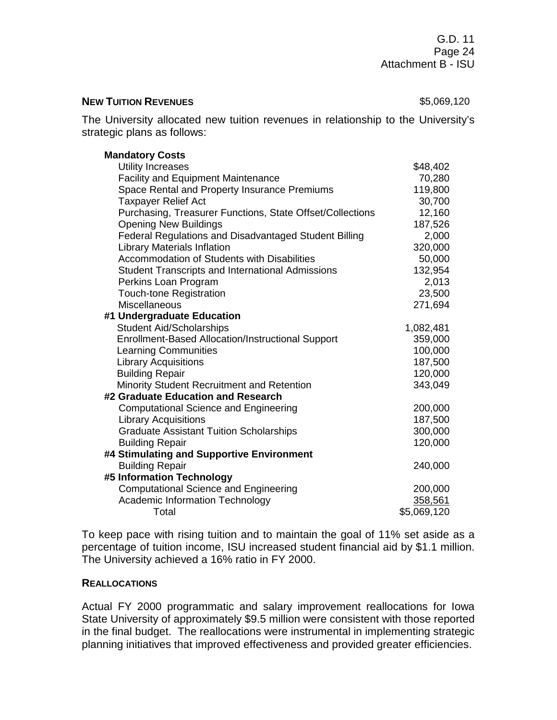#### **NEW TUITION REVENUES** \$5,069,120

The University allocated new tuition revenues in relationship to the University's strategic plans as follows:

| <b>Mandatory Costs</b>                                    |             |
|-----------------------------------------------------------|-------------|
| <b>Utility Increases</b>                                  | \$48,402    |
| <b>Facility and Equipment Maintenance</b>                 | 70,280      |
| Space Rental and Property Insurance Premiums              | 119,800     |
| <b>Taxpayer Relief Act</b>                                | 30,700      |
| Purchasing, Treasurer Functions, State Offset/Collections | 12,160      |
| <b>Opening New Buildings</b>                              | 187,526     |
| Federal Regulations and Disadvantaged Student Billing     | 2,000       |
| <b>Library Materials Inflation</b>                        | 320,000     |
| Accommodation of Students with Disabilities               | 50,000      |
| <b>Student Transcripts and International Admissions</b>   | 132,954     |
| Perkins Loan Program                                      | 2,013       |
| <b>Touch-tone Registration</b>                            | 23,500      |
| Miscellaneous                                             | 271,694     |
| #1 Undergraduate Education                                |             |
| <b>Student Aid/Scholarships</b>                           | 1,082,481   |
| <b>Enrollment-Based Allocation/Instructional Support</b>  | 359,000     |
| <b>Learning Communities</b>                               | 100,000     |
| <b>Library Acquisitions</b>                               | 187,500     |
| <b>Building Repair</b>                                    | 120,000     |
| Minority Student Recruitment and Retention                | 343,049     |
| #2 Graduate Education and Research                        |             |
| <b>Computational Science and Engineering</b>              | 200,000     |
| <b>Library Acquisitions</b>                               | 187,500     |
| <b>Graduate Assistant Tuition Scholarships</b>            | 300,000     |
| <b>Building Repair</b>                                    | 120,000     |
| #4 Stimulating and Supportive Environment                 |             |
| <b>Building Repair</b>                                    | 240,000     |
| #5 Information Technology                                 |             |
| <b>Computational Science and Engineering</b>              | 200,000     |
| <b>Academic Information Technology</b>                    | 358,561     |
| Total                                                     | \$5,069,120 |

To keep pace with rising tuition and to maintain the goal of 11% set aside as a percentage of tuition income, ISU increased student financial aid by \$1.1 million. The University achieved a 16% ratio in FY 2000.

#### **REALLOCATIONS**

Actual FY 2000 programmatic and salary improvement reallocations for Iowa State University of approximately \$9.5 million were consistent with those reported in the final budget. The reallocations were instrumental in implementing strategic planning initiatives that improved effectiveness and provided greater efficiencies.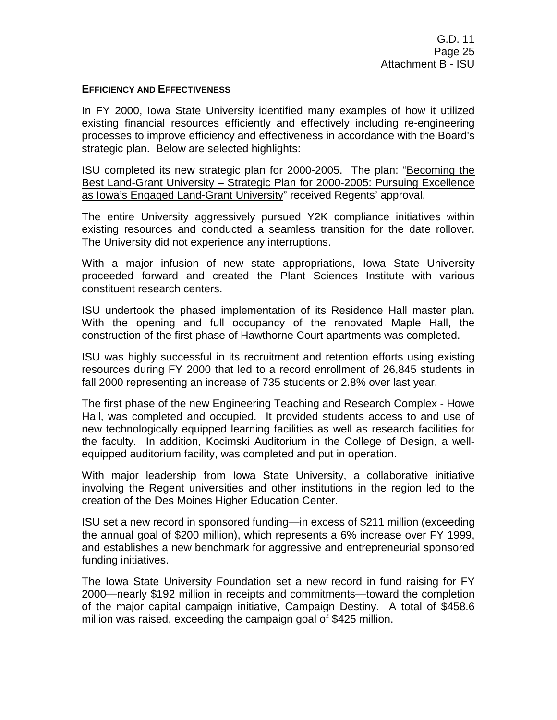#### **EFFICIENCY AND EFFECTIVENESS**

In FY 2000, Iowa State University identified many examples of how it utilized existing financial resources efficiently and effectively including re-engineering processes to improve efficiency and effectiveness in accordance with the Board's strategic plan. Below are selected highlights:

ISU completed its new strategic plan for 2000-2005. The plan: "Becoming the Best Land-Grant University – Strategic Plan for 2000-2005: Pursuing Excellence as Iowa's Engaged Land-Grant University" received Regents' approval.

The entire University aggressively pursued Y2K compliance initiatives within existing resources and conducted a seamless transition for the date rollover. The University did not experience any interruptions.

With a major infusion of new state appropriations, Iowa State University proceeded forward and created the Plant Sciences Institute with various constituent research centers.

ISU undertook the phased implementation of its Residence Hall master plan. With the opening and full occupancy of the renovated Maple Hall, the construction of the first phase of Hawthorne Court apartments was completed.

ISU was highly successful in its recruitment and retention efforts using existing resources during FY 2000 that led to a record enrollment of 26,845 students in fall 2000 representing an increase of 735 students or 2.8% over last year.

The first phase of the new Engineering Teaching and Research Complex - Howe Hall, was completed and occupied. It provided students access to and use of new technologically equipped learning facilities as well as research facilities for the faculty. In addition, Kocimski Auditorium in the College of Design, a wellequipped auditorium facility, was completed and put in operation.

With major leadership from Iowa State University, a collaborative initiative involving the Regent universities and other institutions in the region led to the creation of the Des Moines Higher Education Center.

ISU set a new record in sponsored funding—in excess of \$211 million (exceeding the annual goal of \$200 million), which represents a 6% increase over FY 1999, and establishes a new benchmark for aggressive and entrepreneurial sponsored funding initiatives.

The Iowa State University Foundation set a new record in fund raising for FY 2000—nearly \$192 million in receipts and commitments—toward the completion of the major capital campaign initiative, Campaign Destiny. A total of \$458.6 million was raised, exceeding the campaign goal of \$425 million.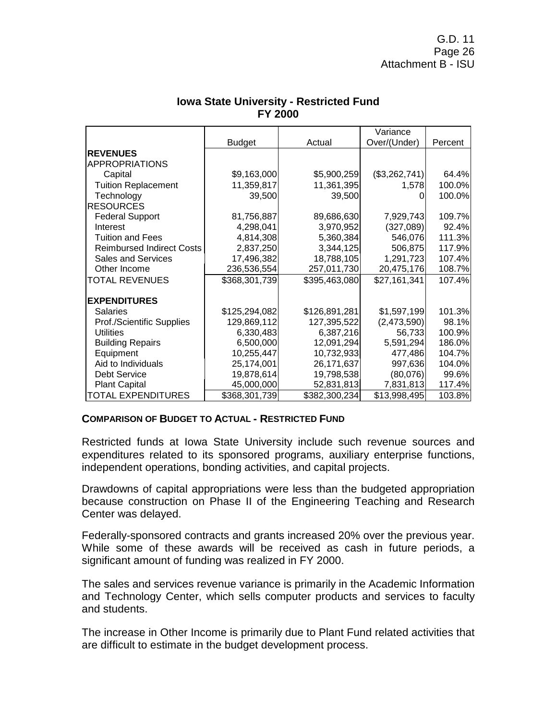G.D. 11 Page 26 Attachment B - ISU

|                                  |               |               | Variance       |         |
|----------------------------------|---------------|---------------|----------------|---------|
|                                  | <b>Budget</b> | Actual        | Over/(Under)   | Percent |
| <b>REVENUES</b>                  |               |               |                |         |
| <b>APPROPRIATIONS</b>            |               |               |                |         |
| Capital                          | \$9,163,000   | \$5,900,259   | ( \$3,262,741) | 64.4%   |
| <b>Tuition Replacement</b>       | 11,359,817    | 11,361,395    | 1,578          | 100.0%  |
| Technology                       | 39,500        | 39,500        |                | 100.0%  |
| <b>RESOURCES</b>                 |               |               |                |         |
| <b>Federal Support</b>           | 81,756,887    | 89,686,630    | 7,929,743      | 109.7%  |
| Interest                         | 4,298,041     | 3,970,952     | (327,089)      | 92.4%   |
| <b>Tuition and Fees</b>          | 4,814,308     | 5,360,384     | 546,076        | 111.3%  |
| <b>Reimbursed Indirect Costs</b> | 2,837,250     | 3,344,125     | 506,875        | 117.9%  |
| <b>Sales and Services</b>        | 17,496,382    | 18,788,105    | 1,291,723      | 107.4%  |
| Other Income                     | 236,536,554   | 257,011,730   | 20,475,176     | 108.7%  |
| <b>TOTAL REVENUES</b>            | \$368,301,739 | \$395,463,080 | \$27,161,341   | 107.4%  |
|                                  |               |               |                |         |
| <b>EXPENDITURES</b>              |               |               |                |         |
| <b>Salaries</b>                  | \$125,294,082 | \$126,891,281 | \$1,597,199    | 101.3%  |
| Prof./Scientific Supplies        | 129,869,112   | 127,395,522   | (2,473,590)    | 98.1%   |
| Utilities                        | 6,330,483     | 6,387,216     | 56,733         | 100.9%  |
| <b>Building Repairs</b>          | 6,500,000     | 12,091,294    | 5,591,294      | 186.0%  |
| Equipment                        | 10,255,447    | 10,732,933    | 477,486        | 104.7%  |
| Aid to Individuals               | 25,174,001    | 26,171,637    | 997,636        | 104.0%  |
| <b>Debt Service</b>              | 19,878,614    | 19,798,538    | (80,076)       | 99.6%   |
| <b>Plant Capital</b>             | 45,000,000    | 52,831,813    | 7,831,813      | 117.4%  |
| TOTAL EXPENDITURES               | \$368,301,739 | \$382,300,234 | \$13,998,495   | 103.8%  |

#### **Iowa State University - Restricted Fund FY 2000**

## **COMPARISON OF BUDGET TO ACTUAL - RESTRICTED FUND**

Restricted funds at Iowa State University include such revenue sources and expenditures related to its sponsored programs, auxiliary enterprise functions, independent operations, bonding activities, and capital projects.

Drawdowns of capital appropriations were less than the budgeted appropriation because construction on Phase II of the Engineering Teaching and Research Center was delayed.

Federally-sponsored contracts and grants increased 20% over the previous year. While some of these awards will be received as cash in future periods, a significant amount of funding was realized in FY 2000.

The sales and services revenue variance is primarily in the Academic Information and Technology Center, which sells computer products and services to faculty and students.

The increase in Other Income is primarily due to Plant Fund related activities that are difficult to estimate in the budget development process.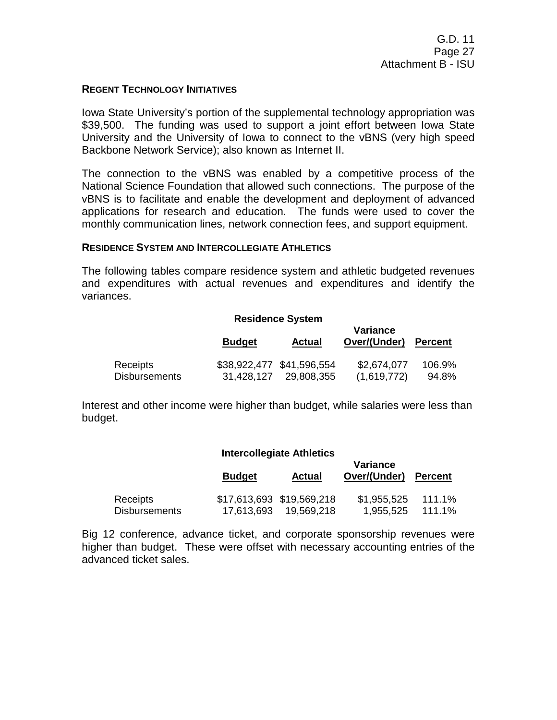#### **REGENT TECHNOLOGY INITIATIVES**

Iowa State University's portion of the supplemental technology appropriation was \$39,500. The funding was used to support a joint effort between lowa State University and the University of Iowa to connect to the vBNS (very high speed Backbone Network Service); also known as Internet II.

The connection to the vBNS was enabled by a competitive process of the National Science Foundation that allowed such connections. The purpose of the vBNS is to facilitate and enable the development and deployment of advanced applications for research and education. The funds were used to cover the monthly communication lines, network connection fees, and support equipment.

#### **RESIDENCE SYSTEM AND INTERCOLLEGIATE ATHLETICS**

The following tables compare residence system and athletic budgeted revenues and expenditures with actual revenues and expenditures and identify the variances.

#### **Residence System**

|                      | <b>Budget</b> | <b>Actual</b>             | <b>Variance</b><br>Over/(Under) | <b>Percent</b> |
|----------------------|---------------|---------------------------|---------------------------------|----------------|
| Receipts             |               | \$38,922,477 \$41,596,554 | \$2,674,077                     | 106.9%         |
| <b>Disbursements</b> | 31,428,127    | 29,808,355                | (1,619,772)                     | 94.8%          |

Interest and other income were higher than budget, while salaries were less than budget.

#### **Intercollegiate Athletics**

|                      | <b>Budget</b> | Actual                    | <b>Variance</b><br>Over/(Under) | <b>Percent</b> |
|----------------------|---------------|---------------------------|---------------------------------|----------------|
| Receipts             |               | \$17,613,693 \$19,569,218 | \$1,955,525 111.1%              |                |
| <b>Disbursements</b> | 17,613,693    | 19,569,218                | 1,955,525                       | 111.1%         |

Big 12 conference, advance ticket, and corporate sponsorship revenues were higher than budget. These were offset with necessary accounting entries of the advanced ticket sales.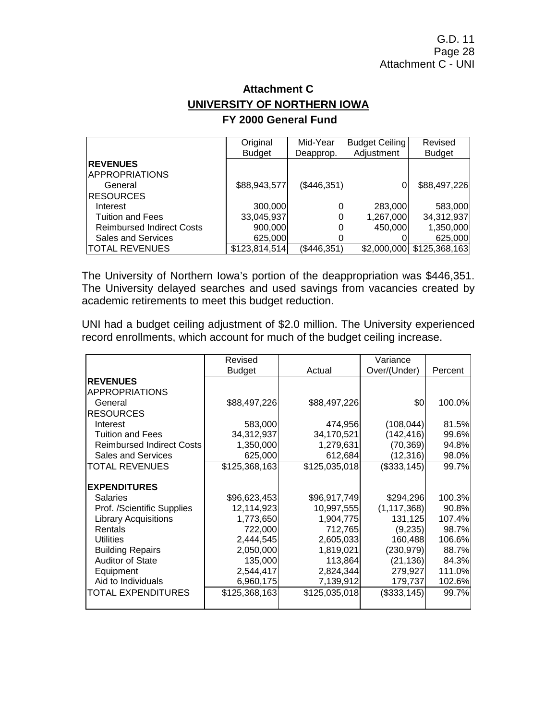# **Attachment C UNIVERSITY OF NORTHERN IOWA FY 2000 General Fund**

|                                  | Original      | Mid-Year           | <b>Budget Ceiling</b> | Revised       |
|----------------------------------|---------------|--------------------|-----------------------|---------------|
|                                  | <b>Budget</b> | Deapprop.          | Adjustment            | <b>Budget</b> |
| <b>REVENUES</b>                  |               |                    |                       |               |
| <b>APPROPRIATIONS</b>            |               |                    |                       |               |
| General                          | \$88,943,577  | $($ \$446,351) $ $ |                       | \$88,497,226  |
| <b>IRESOURCES</b>                |               |                    |                       |               |
| Interest                         | 300,000       |                    | 283,000               | 583,000       |
| <b>Tuition and Fees</b>          | 33,045,937    |                    | 1,267,000             | 34,312,937    |
| <b>Reimbursed Indirect Costs</b> | 900,000       |                    | 450.000               | 1,350,000     |
| <b>Sales and Services</b>        | 625,000       |                    |                       | 625,000       |
| <b>TOTAL REVENUES</b>            | \$123,814,514 | (\$446,351)        | \$2,000,000           | \$125,368,163 |

The University of Northern Iowa's portion of the deappropriation was \$446,351. The University delayed searches and used savings from vacancies created by academic retirements to meet this budget reduction.

UNI had a budget ceiling adjustment of \$2.0 million. The University experienced record enrollments, which account for much of the budget ceiling increase.

|                                  | Revised       |               | Variance      |         |
|----------------------------------|---------------|---------------|---------------|---------|
|                                  | <b>Budget</b> | Actual        | Over/(Under)  | Percent |
| <b>REVENUES</b>                  |               |               |               |         |
| <b>APPROPRIATIONS</b>            |               |               |               |         |
| General                          | \$88,497,226  | \$88,497,226  | \$0           | 100.0%  |
| <b>RESOURCES</b>                 |               |               |               |         |
| Interest                         | 583,000       | 474,956       | (108, 044)    | 81.5%   |
| <b>Tuition and Fees</b>          | 34,312,937    | 34,170,521    | (142, 416)    | 99.6%   |
| <b>Reimbursed Indirect Costs</b> | 1,350,000     | 1,279,631     | (70, 369)     | 94.8%   |
| <b>Sales and Services</b>        | 625,000       | 612,684       | (12, 316)     | 98.0%   |
| TOTAL REVENUES                   | \$125,368,163 | \$125,035,018 | ( \$333, 145) | 99.7%   |
|                                  |               |               |               |         |
| <b>EXPENDITURES</b>              |               |               |               |         |
| <b>Salaries</b>                  | \$96,623,453  | \$96,917,749  | \$294,296     | 100.3%  |
| Prof. /Scientific Supplies       | 12,114,923    | 10,997,555    | (1, 117, 368) | 90.8%   |
| <b>Library Acquisitions</b>      | 1,773,650     | 1,904,775     | 131,125       | 107.4%  |
| <b>Rentals</b>                   | 722,000       | 712,765       | (9,235)       | 98.7%   |
| <b>Utilities</b>                 | 2,444,545     | 2,605,033     | 160,488       | 106.6%  |
| <b>Building Repairs</b>          | 2,050,000     | 1,819,021     | (230, 979)    | 88.7%   |
| <b>Auditor of State</b>          | 135,000       | 113,864       | (21, 136)     | 84.3%   |
| Equipment                        | 2,544,417     | 2,824,344     | 279,927       | 111.0%  |
| Aid to Individuals               | 6,960,175     | 7,139,912     | 179,737       | 102.6%  |
| <b>TOTAL EXPENDITURES</b>        | \$125,368,163 | \$125,035,018 | (\$333,145)   | 99.7%   |
|                                  |               |               |               |         |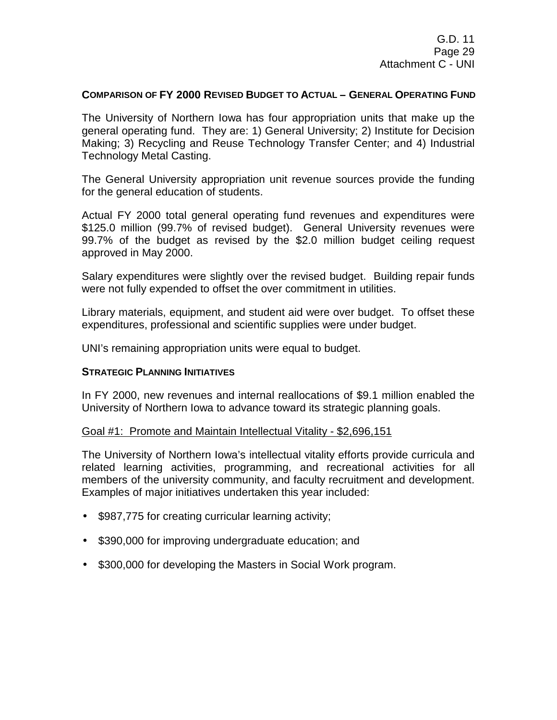#### **COMPARISON OF FY 2000 REVISED BUDGET TO ACTUAL – GENERAL OPERATING FUND**

The University of Northern Iowa has four appropriation units that make up the general operating fund. They are: 1) General University; 2) Institute for Decision Making; 3) Recycling and Reuse Technology Transfer Center; and 4) Industrial Technology Metal Casting.

The General University appropriation unit revenue sources provide the funding for the general education of students.

Actual FY 2000 total general operating fund revenues and expenditures were \$125.0 million (99.7% of revised budget). General University revenues were 99.7% of the budget as revised by the \$2.0 million budget ceiling request approved in May 2000.

Salary expenditures were slightly over the revised budget. Building repair funds were not fully expended to offset the over commitment in utilities.

Library materials, equipment, and student aid were over budget. To offset these expenditures, professional and scientific supplies were under budget.

UNI's remaining appropriation units were equal to budget.

#### **STRATEGIC PLANNING INITIATIVES**

In FY 2000, new revenues and internal reallocations of \$9.1 million enabled the University of Northern Iowa to advance toward its strategic planning goals.

#### Goal #1: Promote and Maintain Intellectual Vitality - \$2,696,151

The University of Northern Iowa's intellectual vitality efforts provide curricula and related learning activities, programming, and recreational activities for all members of the university community, and faculty recruitment and development. Examples of major initiatives undertaken this year included:

- \$987,775 for creating curricular learning activity;
- \$390,000 for improving undergraduate education; and
- \$300,000 for developing the Masters in Social Work program.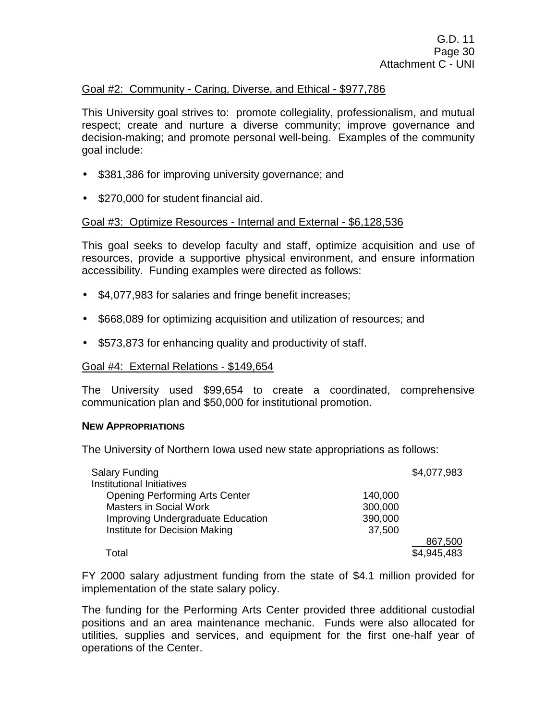# Goal #2: Community - Caring, Diverse, and Ethical - \$977,786

This University goal strives to: promote collegiality, professionalism, and mutual respect; create and nurture a diverse community; improve governance and decision-making; and promote personal well-being. Examples of the community goal include:

- \$381,386 for improving university governance; and
- \$270,000 for student financial aid.

#### Goal #3: Optimize Resources - Internal and External - \$6,128,536

This goal seeks to develop faculty and staff, optimize acquisition and use of resources, provide a supportive physical environment, and ensure information accessibility. Funding examples were directed as follows:

- \$4,077,983 for salaries and fringe benefit increases;
- \$668,089 for optimizing acquisition and utilization of resources; and
- \$573,873 for enhancing quality and productivity of staff.

#### Goal #4: External Relations - \$149,654

The University used \$99,654 to create a coordinated, comprehensive communication plan and \$50,000 for institutional promotion.

#### **NEW APPROPRIATIONS**

The University of Northern Iowa used new state appropriations as follows:

| <b>Salary Funding</b>                 |         | \$4,077,983 |
|---------------------------------------|---------|-------------|
| Institutional Initiatives             |         |             |
| <b>Opening Performing Arts Center</b> | 140,000 |             |
| <b>Masters in Social Work</b>         | 300,000 |             |
| Improving Undergraduate Education     | 390,000 |             |
| Institute for Decision Making         | 37,500  |             |
|                                       |         | 867,500     |
| Total                                 |         | \$4,945,483 |

FY 2000 salary adjustment funding from the state of \$4.1 million provided for implementation of the state salary policy.

The funding for the Performing Arts Center provided three additional custodial positions and an area maintenance mechanic. Funds were also allocated for utilities, supplies and services, and equipment for the first one-half year of operations of the Center.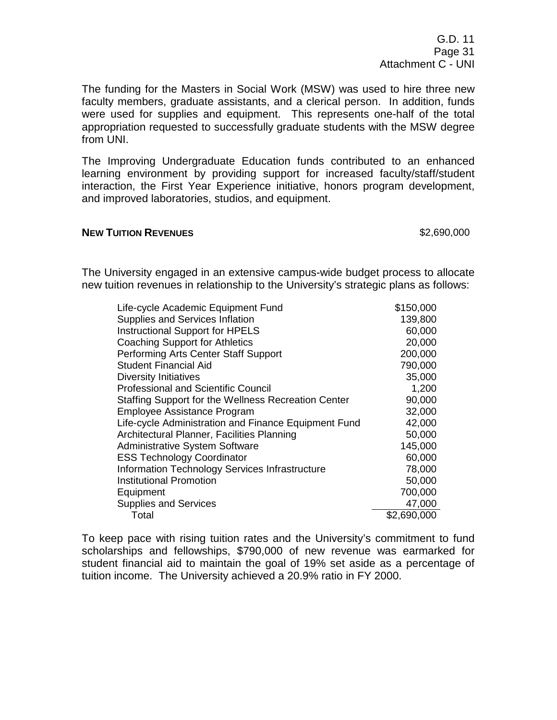G.D. 11 Page 31 Attachment C - UNI

The funding for the Masters in Social Work (MSW) was used to hire three new faculty members, graduate assistants, and a clerical person. In addition, funds were used for supplies and equipment. This represents one-half of the total appropriation requested to successfully graduate students with the MSW degree from UNI.

The Improving Undergraduate Education funds contributed to an enhanced learning environment by providing support for increased faculty/staff/student interaction, the First Year Experience initiative, honors program development, and improved laboratories, studios, and equipment.

#### **NEW TUITION REVENUES 1999,000 1999,000 1999,000 1999,000 1999,000 1999,000**

The University engaged in an extensive campus-wide budget process to allocate new tuition revenues in relationship to the University's strategic plans as follows:

| Life-cycle Academic Equipment Fund                         | \$150,000   |
|------------------------------------------------------------|-------------|
| Supplies and Services Inflation                            | 139,800     |
| <b>Instructional Support for HPELS</b>                     | 60,000      |
| <b>Coaching Support for Athletics</b>                      | 20,000      |
| Performing Arts Center Staff Support                       | 200,000     |
| <b>Student Financial Aid</b>                               | 790,000     |
| <b>Diversity Initiatives</b>                               | 35,000      |
| Professional and Scientific Council                        | 1,200       |
| <b>Staffing Support for the Wellness Recreation Center</b> | 90,000      |
| Employee Assistance Program                                | 32,000      |
| Life-cycle Administration and Finance Equipment Fund       | 42,000      |
| Architectural Planner, Facilities Planning                 | 50,000      |
| <b>Administrative System Software</b>                      | 145,000     |
| <b>ESS Technology Coordinator</b>                          | 60,000      |
| Information Technology Services Infrastructure             | 78,000      |
| Institutional Promotion                                    | 50,000      |
| Equipment                                                  | 700,000     |
| <b>Supplies and Services</b>                               | 47,000      |
| Total                                                      | \$2,690,000 |

To keep pace with rising tuition rates and the University's commitment to fund scholarships and fellowships, \$790,000 of new revenue was earmarked for student financial aid to maintain the goal of 19% set aside as a percentage of tuition income. The University achieved a 20.9% ratio in FY 2000.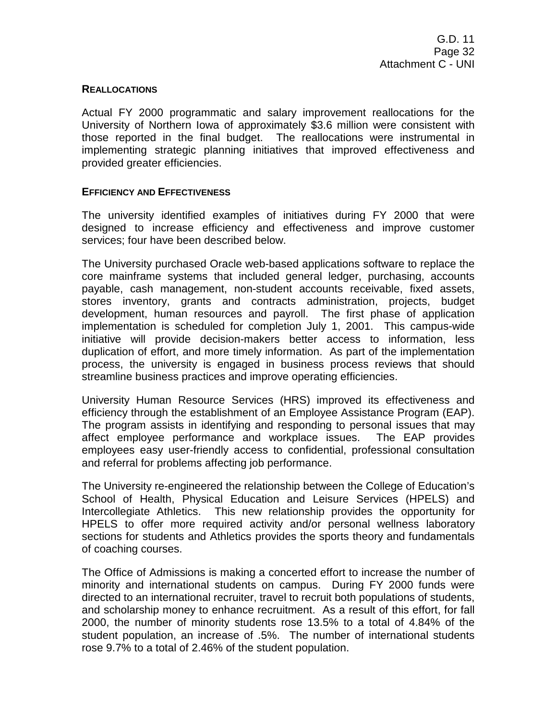#### **REALLOCATIONS**

Actual FY 2000 programmatic and salary improvement reallocations for the University of Northern Iowa of approximately \$3.6 million were consistent with those reported in the final budget. The reallocations were instrumental in implementing strategic planning initiatives that improved effectiveness and provided greater efficiencies.

#### **EFFICIENCY AND EFFECTIVENESS**

The university identified examples of initiatives during FY 2000 that were designed to increase efficiency and effectiveness and improve customer services; four have been described below.

The University purchased Oracle web-based applications software to replace the core mainframe systems that included general ledger, purchasing, accounts payable, cash management, non-student accounts receivable, fixed assets, stores inventory, grants and contracts administration, projects, budget development, human resources and payroll. The first phase of application implementation is scheduled for completion July 1, 2001. This campus-wide initiative will provide decision-makers better access to information, less duplication of effort, and more timely information. As part of the implementation process, the university is engaged in business process reviews that should streamline business practices and improve operating efficiencies.

University Human Resource Services (HRS) improved its effectiveness and efficiency through the establishment of an Employee Assistance Program (EAP). The program assists in identifying and responding to personal issues that may affect employee performance and workplace issues. The EAP provides employees easy user-friendly access to confidential, professional consultation and referral for problems affecting job performance.

The University re-engineered the relationship between the College of Education's School of Health, Physical Education and Leisure Services (HPELS) and Intercollegiate Athletics. This new relationship provides the opportunity for HPELS to offer more required activity and/or personal wellness laboratory sections for students and Athletics provides the sports theory and fundamentals of coaching courses.

The Office of Admissions is making a concerted effort to increase the number of minority and international students on campus. During FY 2000 funds were directed to an international recruiter, travel to recruit both populations of students, and scholarship money to enhance recruitment. As a result of this effort, for fall 2000, the number of minority students rose 13.5% to a total of 4.84% of the student population, an increase of .5%. The number of international students rose 9.7% to a total of 2.46% of the student population.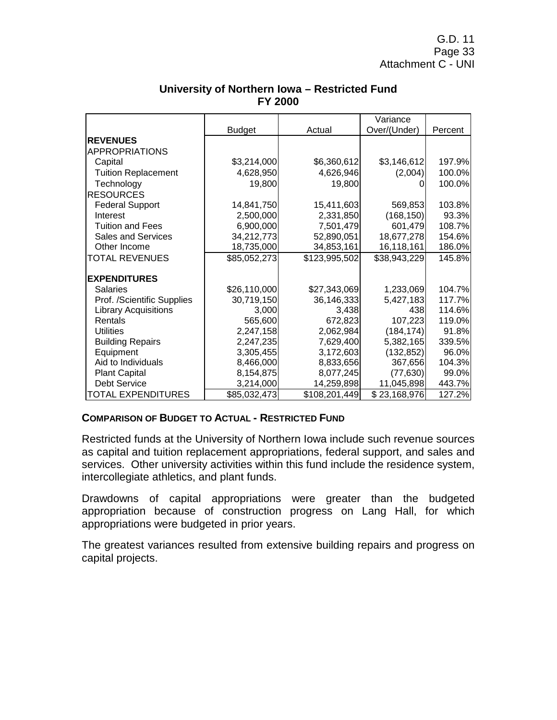|                             |               |               | Variance     |         |
|-----------------------------|---------------|---------------|--------------|---------|
|                             | <b>Budget</b> | Actual        | Over/(Under) | Percent |
| <b>REVENUES</b>             |               |               |              |         |
| <b>APPROPRIATIONS</b>       |               |               |              |         |
| Capital                     | \$3,214,000   | \$6,360,612   | \$3,146,612  | 197.9%  |
| <b>Tuition Replacement</b>  | 4,628,950     | 4,626,946     | (2,004)      | 100.0%  |
| Technology                  | 19,800        | 19,800        |              | 100.0%  |
| <b>RESOURCES</b>            |               |               |              |         |
| <b>Federal Support</b>      | 14,841,750    | 15,411,603    | 569,853      | 103.8%  |
| Interest                    | 2,500,000     | 2,331,850     | (168, 150)   | 93.3%   |
| <b>Tuition and Fees</b>     | 6,900,000     | 7,501,479     | 601,479      | 108.7%  |
| <b>Sales and Services</b>   | 34,212,773    | 52,890,051    | 18,677,278   | 154.6%  |
| Other Income                | 18,735,000    | 34,853,161    | 16,118,161   | 186.0%  |
| TOTAL REVENUES              | \$85,052,273  | \$123,995,502 | \$38,943,229 | 145.8%  |
| <b>EXPENDITURES</b>         |               |               |              |         |
| Salaries                    | \$26,110,000  | \$27,343,069  | 1,233,069    | 104.7%  |
| Prof. /Scientific Supplies  | 30,719,150    | 36,146,333    | 5,427,183    | 117.7%  |
| <b>Library Acquisitions</b> | 3,000         | 3,438         | 438          | 114.6%  |
| Rentals                     | 565,600       | 672,823       | 107,223      | 119.0%  |
| <b>Utilities</b>            | 2,247,158     | 2,062,984     | (184, 174)   | 91.8%   |
| <b>Building Repairs</b>     | 2,247,235     | 7,629,400     | 5,382,165    | 339.5%  |
| Equipment                   | 3,305,455     | 3,172,603     | (132, 852)   | 96.0%   |
| Aid to Individuals          | 8,466,000     | 8,833,656     | 367,656      | 104.3%  |
| <b>Plant Capital</b>        | 8,154,875     | 8,077,245     | (77, 630)    | 99.0%   |
| Debt Service                | 3,214,000     | 14,259,898    | 11,045,898   | 443.7%  |
| TOTAL EXPENDITURES          | \$85,032,473  | \$108,201,449 | \$23,168,976 | 127.2%  |

## **University of Northern Iowa – Restricted Fund FY 2000**

#### **COMPARISON OF BUDGET TO ACTUAL - RESTRICTED FUND**

Restricted funds at the University of Northern Iowa include such revenue sources as capital and tuition replacement appropriations, federal support, and sales and services. Other university activities within this fund include the residence system, intercollegiate athletics, and plant funds.

Drawdowns of capital appropriations were greater than the budgeted appropriation because of construction progress on Lang Hall, for which appropriations were budgeted in prior years.

The greatest variances resulted from extensive building repairs and progress on capital projects.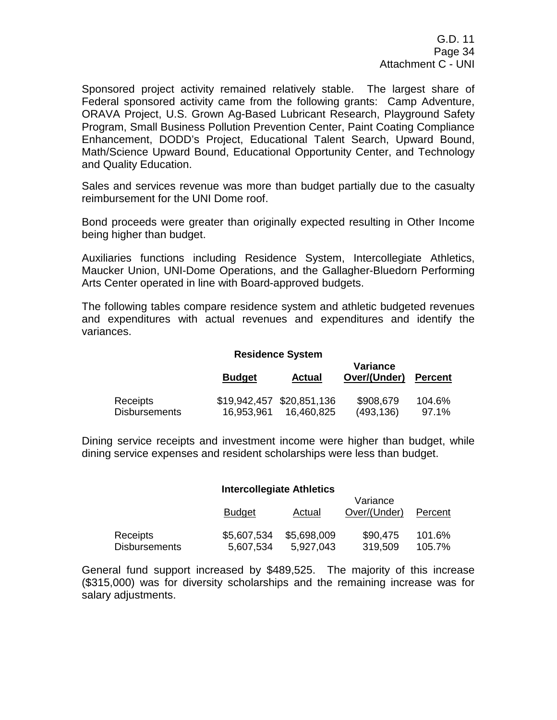Sponsored project activity remained relatively stable. The largest share of Federal sponsored activity came from the following grants: Camp Adventure, ORAVA Project, U.S. Grown Ag-Based Lubricant Research, Playground Safety Program, Small Business Pollution Prevention Center, Paint Coating Compliance Enhancement, DODD's Project, Educational Talent Search, Upward Bound, Math/Science Upward Bound, Educational Opportunity Center, and Technology and Quality Education.

Sales and services revenue was more than budget partially due to the casualty reimbursement for the UNI Dome roof.

Bond proceeds were greater than originally expected resulting in Other Income being higher than budget.

Auxiliaries functions including Residence System, Intercollegiate Athletics, Maucker Union, UNI-Dome Operations, and the Gallagher-Bluedorn Performing Arts Center operated in line with Board-approved budgets.

The following tables compare residence system and athletic budgeted revenues and expenditures with actual revenues and expenditures and identify the variances.

#### **Residence System**

|                      | <b>Budget</b> | Actual                    | Variance<br>Over/(Under) | <b>Percent</b> |
|----------------------|---------------|---------------------------|--------------------------|----------------|
| Receipts             | 16,953,961    | \$19,942,457 \$20,851,136 | \$908,679                | 104.6%         |
| <b>Disbursements</b> |               | 16,460,825                | (493, 136)               | 97.1%          |

Dining service receipts and investment income were higher than budget, while dining service expenses and resident scholarships were less than budget.

#### **Intercollegiate Athletics**

|                      | <b>Budget</b> | Actual      | Variance<br>Over/(Under) | Percent |
|----------------------|---------------|-------------|--------------------------|---------|
| Receipts             | \$5,607,534   | \$5,698,009 | \$90,475                 | 101.6%  |
| <b>Disbursements</b> | 5,607,534     | 5,927,043   | 319,509                  | 105.7%  |

General fund support increased by \$489,525. The majority of this increase (\$315,000) was for diversity scholarships and the remaining increase was for salary adjustments.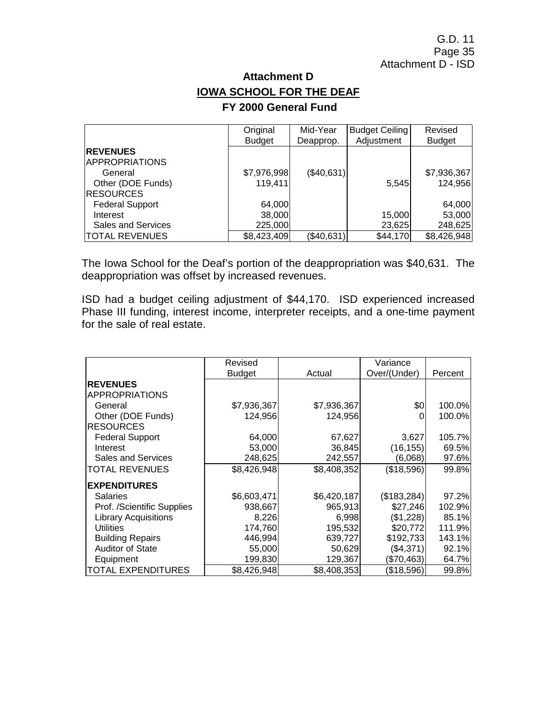# **Attachment D IOWA SCHOOL FOR THE DEAF**

# **FY 2000 General Fund**

|                           | Original      | Mid-Year     | <b>Budget Ceiling</b> | Revised       |
|---------------------------|---------------|--------------|-----------------------|---------------|
|                           | <b>Budget</b> | Deapprop.    | Adjustment            | <b>Budget</b> |
| <b>REVENUES</b>           |               |              |                       |               |
| <b>APPROPRIATIONS</b>     |               |              |                       |               |
| General                   | \$7,976,998   | (\$40,631)   |                       | \$7,936,367   |
| Other (DOE Funds)         | 119,411       |              | 5,545                 | 124,956       |
| RESOURCES                 |               |              |                       |               |
| <b>Federal Support</b>    | 64,000        |              |                       | 64,000        |
| Interest                  | 38,000        |              | 15,000                | 53,000        |
| <b>Sales and Services</b> | 225,000       |              | 23,625                | 248,625       |
| <b>TOTAL REVENUES</b>     | \$8,423,409   | $(\$40,631)$ | \$44.170              | \$8,426,948   |

The Iowa School for the Deaf's portion of the deappropriation was \$40,631. The deappropriation was offset by increased revenues.

ISD had a budget ceiling adjustment of \$44,170. ISD experienced increased Phase III funding, interest income, interpreter receipts, and a one-time payment for the sale of real estate.

|                             | Revised       |             | Variance     |         |
|-----------------------------|---------------|-------------|--------------|---------|
|                             | <b>Budget</b> | Actual      | Over/(Under) | Percent |
| <b>REVENUES</b>             |               |             |              |         |
| <b>APPROPRIATIONS</b>       |               |             |              |         |
| General                     | \$7,936,367   | \$7,936,367 | \$0          | 100.0%  |
| Other (DOE Funds)           | 124,956       | 124,956     |              | 100.0%  |
| <b>RESOURCES</b>            |               |             |              |         |
| <b>Federal Support</b>      | 64,000        | 67,627      | 3,627        | 105.7%  |
| Interest                    | 53,000        | 36,845      | (16, 155)    | 69.5%   |
| <b>Sales and Services</b>   | 248,625       | 242,557     | (6,068)      | 97.6%   |
| <b>TOTAL REVENUES</b>       | \$8,426,948   | \$8,408,352 | (\$18,596)   | 99.8%   |
| <b>EXPENDITURES</b>         |               |             |              |         |
| <b>Salaries</b>             | \$6,603,471   | \$6,420,187 | (\$183,284)  | 97.2%   |
| Prof. /Scientific Supplies  | 938,667       | 965,913     | \$27,246     | 102.9%  |
| <b>Library Acquisitions</b> | 8,226         | 6,998       | (\$1,228)    | 85.1%   |
| <b>Utilities</b>            | 174,760       | 195,532     | \$20,772     | 111.9%  |
| <b>Building Repairs</b>     | 446,994       | 639,727     | \$192,733    | 143.1%  |
| <b>Auditor of State</b>     | 55,000        | 50,629      | ( \$4,371]   | 92.1%   |
| Equipment                   | 199,830       | 129,367     | (\$70,463)   | 64.7%   |
| TOTAL EXPENDITURES          | \$8,426,948   | \$8,408,353 | (\$18,596)   | 99.8%   |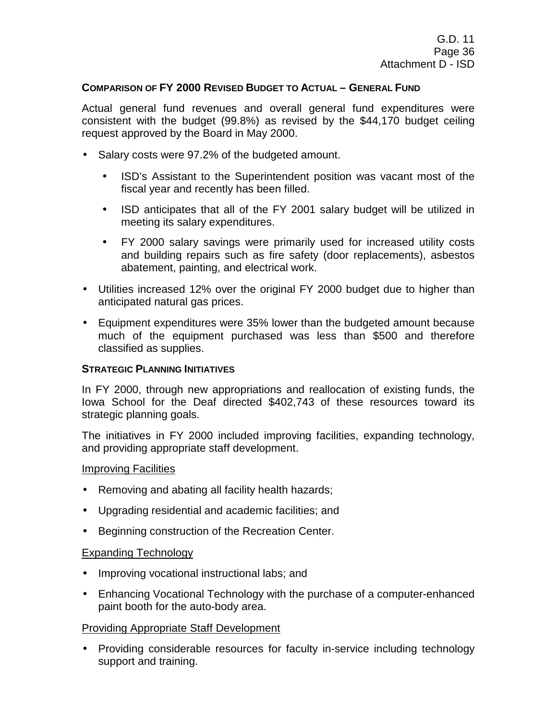#### **COMPARISON OF FY 2000 REVISED BUDGET TO ACTUAL – GENERAL FUND**

Actual general fund revenues and overall general fund expenditures were consistent with the budget (99.8%) as revised by the \$44,170 budget ceiling request approved by the Board in May 2000.

- Salary costs were 97.2% of the budgeted amount.
	- ISD's Assistant to the Superintendent position was vacant most of the fiscal year and recently has been filled.
	- ISD anticipates that all of the FY 2001 salary budget will be utilized in meeting its salary expenditures.
	- FY 2000 salary savings were primarily used for increased utility costs and building repairs such as fire safety (door replacements), asbestos abatement, painting, and electrical work.
- Utilities increased 12% over the original FY 2000 budget due to higher than anticipated natural gas prices.
- Equipment expenditures were 35% lower than the budgeted amount because much of the equipment purchased was less than \$500 and therefore classified as supplies.

#### **STRATEGIC PLANNING INITIATIVES**

In FY 2000, through new appropriations and reallocation of existing funds, the Iowa School for the Deaf directed \$402,743 of these resources toward its strategic planning goals.

The initiatives in FY 2000 included improving facilities, expanding technology, and providing appropriate staff development.

#### Improving Facilities

- Removing and abating all facility health hazards;
- Upgrading residential and academic facilities; and
- Beginning construction of the Recreation Center.

#### Expanding Technology

- Improving vocational instructional labs; and
- Enhancing Vocational Technology with the purchase of a computer-enhanced paint booth for the auto-body area.

#### Providing Appropriate Staff Development

• Providing considerable resources for faculty in-service including technology support and training.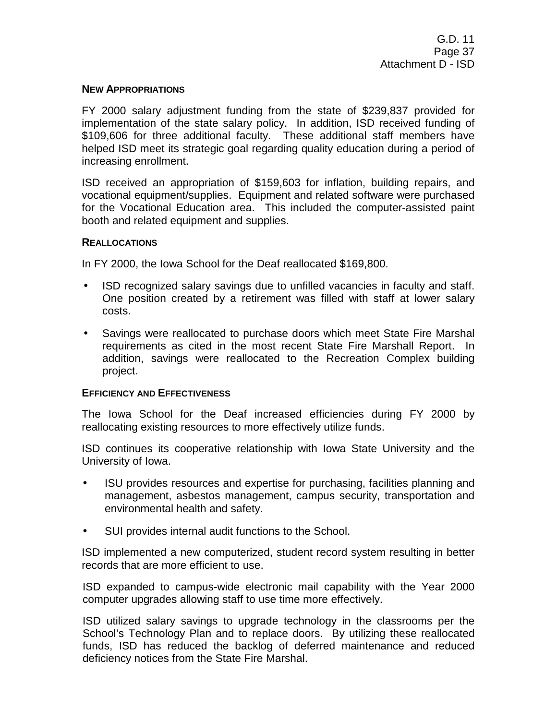#### **NEW APPROPRIATIONS**

FY 2000 salary adjustment funding from the state of \$239,837 provided for implementation of the state salary policy. In addition, ISD received funding of \$109,606 for three additional faculty. These additional staff members have helped ISD meet its strategic goal regarding quality education during a period of increasing enrollment.

ISD received an appropriation of \$159,603 for inflation, building repairs, and vocational equipment/supplies. Equipment and related software were purchased for the Vocational Education area. This included the computer-assisted paint booth and related equipment and supplies.

#### **REALLOCATIONS**

In FY 2000, the Iowa School for the Deaf reallocated \$169,800.

- ISD recognized salary savings due to unfilled vacancies in faculty and staff. One position created by a retirement was filled with staff at lower salary costs.
- Savings were reallocated to purchase doors which meet State Fire Marshal requirements as cited in the most recent State Fire Marshall Report. In addition, savings were reallocated to the Recreation Complex building project.

#### **EFFICIENCY AND EFFECTIVENESS**

The Iowa School for the Deaf increased efficiencies during FY 2000 by reallocating existing resources to more effectively utilize funds.

ISD continues its cooperative relationship with Iowa State University and the University of Iowa.

- ISU provides resources and expertise for purchasing, facilities planning and management, asbestos management, campus security, transportation and environmental health and safety.
- SUI provides internal audit functions to the School.

ISD implemented a new computerized, student record system resulting in better records that are more efficient to use.

ISD expanded to campus-wide electronic mail capability with the Year 2000 computer upgrades allowing staff to use time more effectively.

ISD utilized salary savings to upgrade technology in the classrooms per the School's Technology Plan and to replace doors. By utilizing these reallocated funds, ISD has reduced the backlog of deferred maintenance and reduced deficiency notices from the State Fire Marshal.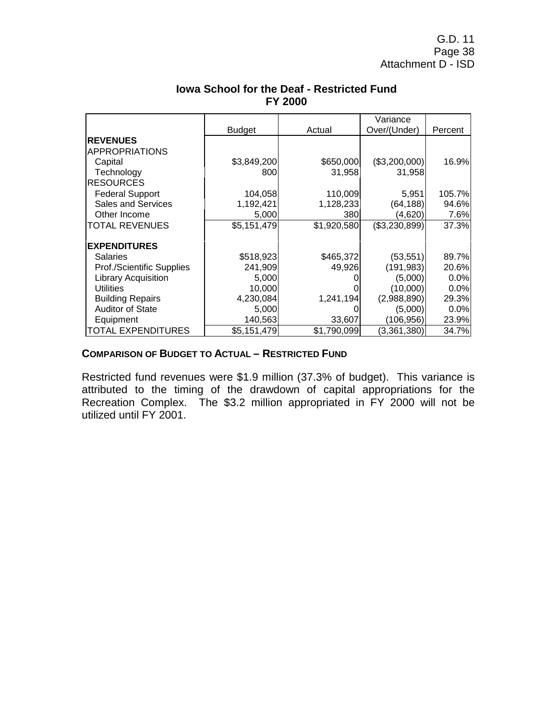|                            |               |             | Variance      |         |
|----------------------------|---------------|-------------|---------------|---------|
|                            | <b>Budget</b> | Actual      | Over/(Under)  | Percent |
| <b>REVENUES</b>            |               |             |               |         |
| <b>APPROPRIATIONS</b>      |               |             |               |         |
| Capital                    | \$3,849,200   | \$650,000   | (\$3,200,000) | 16.9%   |
| Technology                 | 800           | 31,958      | 31,958        |         |
| <b>RESOURCES</b>           |               |             |               |         |
| <b>Federal Support</b>     | 104,058       | 110,009     | 5,951         | 105.7%  |
| <b>Sales and Services</b>  | 1,192,421     | 1,128,233   | (64, 188)     | 94.6%   |
| Other Income               | 5,000         | 380         | (4,620)       | 7.6%    |
| TOTAL REVENUES             | \$5,151,479   | \$1,920,580 | (\$3,230,899) | 37.3%   |
|                            |               |             |               |         |
| <b>EXPENDITURES</b>        |               |             |               |         |
| <b>Salaries</b>            | \$518,923     | \$465,372   | (53, 551)     | 89.7%   |
| Prof./Scientific Supplies  | 241,909       | 49,926      | (191, 983)    | 20.6%   |
| <b>Library Acquisition</b> | 5,000         |             | (5,000)       | 0.0%    |
| <b>Utilities</b>           | 10,000        |             | (10,000)      | 0.0%    |
| <b>Building Repairs</b>    | 4,230,084     | 1,241,194   | (2,988,890)   | 29.3%   |
| <b>Auditor of State</b>    | 5,000         |             | (5,000)       | 0.0%    |
| Equipment                  | 140,563       | 33,607      | 106,956       | 23.9%   |
| TOTAL EXPENDITURES         | \$5,151,479   | \$1.790.099 | (3,361,380)   | 34.7%   |

# **Iowa School for the Deaf - Restricted Fund FY 2000**

# **COMPARISON OF BUDGET TO ACTUAL – RESTRICTED FUND**

Restricted fund revenues were \$1.9 million (37.3% of budget). This variance is attributed to the timing of the drawdown of capital appropriations for the Recreation Complex. The \$3.2 million appropriated in FY 2000 will not be utilized until FY 2001.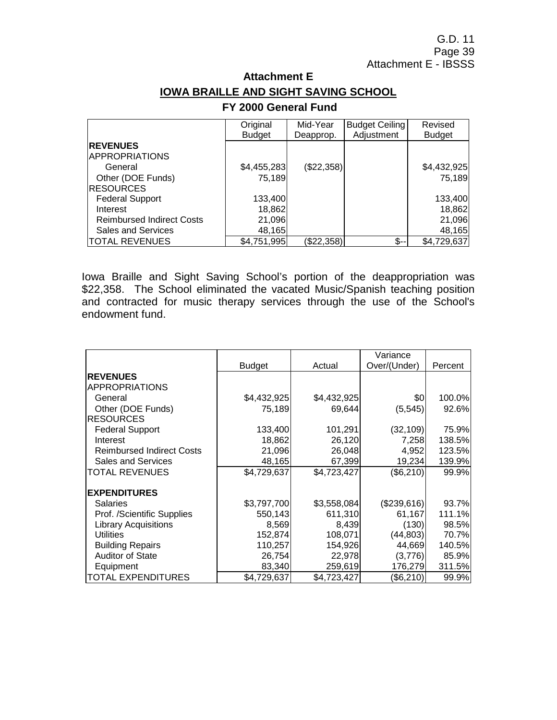|                                  | Original      | Mid-Year   | <b>Budget Ceiling</b> | Revised       |
|----------------------------------|---------------|------------|-----------------------|---------------|
|                                  | <b>Budget</b> | Deapprop.  | Adjustment            | <b>Budget</b> |
| <b>REVENUES</b>                  |               |            |                       |               |
| <b>IAPPROPRIATIONS</b>           |               |            |                       |               |
| General                          | \$4,455,283   | (\$22,358) |                       | \$4,432,925   |
| Other (DOE Funds)                | 75,189        |            |                       | 75,189        |
| <b>RESOURCES</b>                 |               |            |                       |               |
| <b>Federal Support</b>           | 133,400       |            |                       | 133,400       |
| Interest                         | 18,862        |            |                       | 18,862        |
| <b>Reimbursed Indirect Costs</b> | 21,096        |            |                       | 21,096        |
| <b>Sales and Services</b>        | 48,165        |            |                       | 48,165        |
| <b>TOTAL REVENUES</b>            | \$4,751,995   | (\$22,358) | \$.                   | \$4,729,637   |

# **Attachment E IOWA BRAILLE AND SIGHT SAVING SCHOOL FY 2000 General Fund**

Iowa Braille and Sight Saving School's portion of the deappropriation was \$22,358. The School eliminated the vacated Music/Spanish teaching position and contracted for music therapy services through the use of the School's endowment fund.

|                                  |               |             | Variance     |         |
|----------------------------------|---------------|-------------|--------------|---------|
|                                  | <b>Budget</b> | Actual      | Over/(Under) | Percent |
| <b>REVENUES</b>                  |               |             |              |         |
| <b>APPROPRIATIONS</b>            |               |             |              |         |
| General                          | \$4,432,925   | \$4,432,925 | \$0          | 100.0%  |
| Other (DOE Funds)                | 75,189        | 69,644      | (5, 545)     | 92.6%   |
| <b>RESOURCES</b>                 |               |             |              |         |
| <b>Federal Support</b>           | 133,400       | 101,291     | (32, 109)    | 75.9%   |
| Interest                         | 18,862        | 26,120      | 7,258        | 138.5%  |
| <b>Reimbursed Indirect Costs</b> | 21,096        | 26,048      | 4,952        | 123.5%  |
| <b>Sales and Services</b>        | 48,165        | 67,399      | 19,234       | 139.9%  |
| <b>TOTAL REVENUES</b>            | \$4,729,637   | \$4,723,427 | (\$6,210)    | 99.9%   |
|                                  |               |             |              |         |
| <b>EXPENDITURES</b>              |               |             |              |         |
| <b>Salaries</b>                  | \$3,797,700   | \$3,558,084 | (\$239,616)  | 93.7%   |
| Prof. /Scientific Supplies       | 550,143       | 611,310     | 61,167       | 111.1%  |
| <b>Library Acquisitions</b>      | 8,569         | 8,439       | (130)        | 98.5%   |
| <b>Utilities</b>                 | 152,874       | 108,071     | (44, 803)    | 70.7%   |
| <b>Building Repairs</b>          | 110,257       | 154,926     | 44,669       | 140.5%  |
| <b>Auditor of State</b>          | 26,754        | 22,978      | (3,776)      | 85.9%   |
| Equipment                        | 83,340        | 259,619     | 176,279      | 311.5%  |
| <b>TOTAL EXPENDITURES</b>        | \$4,729,637   | \$4,723,427 | (\$6,210)    | 99.9%   |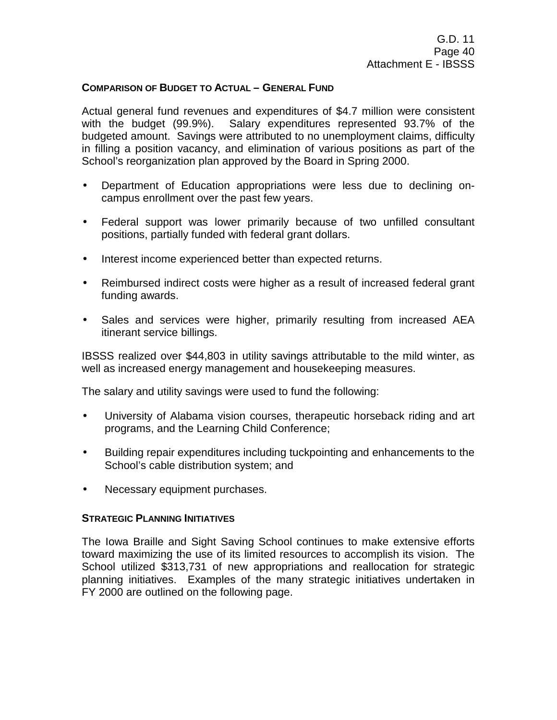#### **COMPARISON OF BUDGET TO ACTUAL – GENERAL FUND**

Actual general fund revenues and expenditures of \$4.7 million were consistent with the budget (99.9%). Salary expenditures represented 93.7% of the budgeted amount. Savings were attributed to no unemployment claims, difficulty in filling a position vacancy, and elimination of various positions as part of the School's reorganization plan approved by the Board in Spring 2000.

- Department of Education appropriations were less due to declining oncampus enrollment over the past few years.
- Federal support was lower primarily because of two unfilled consultant positions, partially funded with federal grant dollars.
- Interest income experienced better than expected returns.
- Reimbursed indirect costs were higher as a result of increased federal grant funding awards.
- Sales and services were higher, primarily resulting from increased AEA itinerant service billings.

IBSSS realized over \$44,803 in utility savings attributable to the mild winter, as well as increased energy management and housekeeping measures.

The salary and utility savings were used to fund the following:

- University of Alabama vision courses, therapeutic horseback riding and art programs, and the Learning Child Conference;
- Building repair expenditures including tuckpointing and enhancements to the School's cable distribution system; and
- Necessary equipment purchases.

#### **STRATEGIC PLANNING INITIATIVES**

The Iowa Braille and Sight Saving School continues to make extensive efforts toward maximizing the use of its limited resources to accomplish its vision. The School utilized \$313,731 of new appropriations and reallocation for strategic planning initiatives. Examples of the many strategic initiatives undertaken in FY 2000 are outlined on the following page.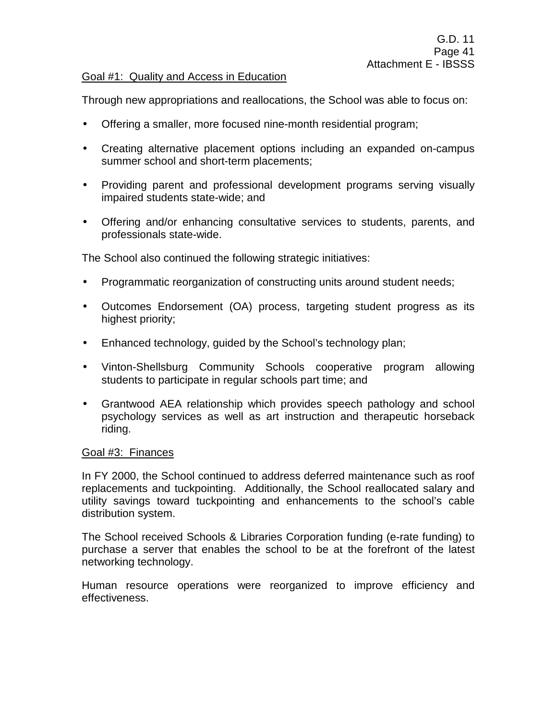# Goal #1: Quality and Access in Education

Through new appropriations and reallocations, the School was able to focus on:

- Offering a smaller, more focused nine-month residential program;
- Creating alternative placement options including an expanded on-campus summer school and short-term placements;
- Providing parent and professional development programs serving visually impaired students state-wide; and
- Offering and/or enhancing consultative services to students, parents, and professionals state-wide.

The School also continued the following strategic initiatives:

- Programmatic reorganization of constructing units around student needs;
- Outcomes Endorsement (OA) process, targeting student progress as its highest priority;
- Enhanced technology, guided by the School's technology plan;
- Vinton-Shellsburg Community Schools cooperative program allowing students to participate in regular schools part time; and
- Grantwood AEA relationship which provides speech pathology and school psychology services as well as art instruction and therapeutic horseback riding.

#### Goal #3: Finances

In FY 2000, the School continued to address deferred maintenance such as roof replacements and tuckpointing. Additionally, the School reallocated salary and utility savings toward tuckpointing and enhancements to the school's cable distribution system.

The School received Schools & Libraries Corporation funding (e-rate funding) to purchase a server that enables the school to be at the forefront of the latest networking technology.

Human resource operations were reorganized to improve efficiency and effectiveness.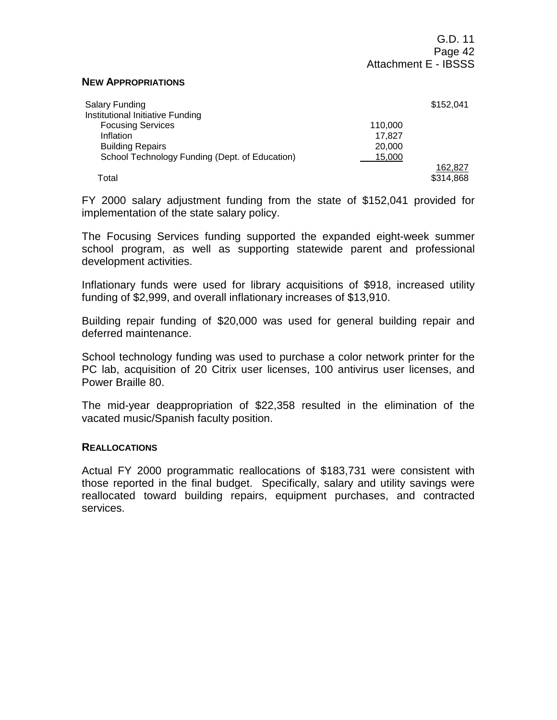#### **NEW APPROPRIATIONS**

| Salary Funding                                 |         | \$152,041 |
|------------------------------------------------|---------|-----------|
| Institutional Initiative Funding               |         |           |
| <b>Focusing Services</b>                       | 110,000 |           |
| Inflation                                      | 17.827  |           |
| <b>Building Repairs</b>                        | 20,000  |           |
| School Technology Funding (Dept. of Education) | 15,000  |           |
|                                                |         | 162,827   |
| Total                                          |         | \$314,868 |

FY 2000 salary adjustment funding from the state of \$152,041 provided for implementation of the state salary policy.

The Focusing Services funding supported the expanded eight-week summer school program, as well as supporting statewide parent and professional development activities.

Inflationary funds were used for library acquisitions of \$918, increased utility funding of \$2,999, and overall inflationary increases of \$13,910.

Building repair funding of \$20,000 was used for general building repair and deferred maintenance.

School technology funding was used to purchase a color network printer for the PC lab, acquisition of 20 Citrix user licenses, 100 antivirus user licenses, and Power Braille 80.

The mid-year deappropriation of \$22,358 resulted in the elimination of the vacated music/Spanish faculty position.

#### **REALLOCATIONS**

Actual FY 2000 programmatic reallocations of \$183,731 were consistent with those reported in the final budget. Specifically, salary and utility savings were reallocated toward building repairs, equipment purchases, and contracted services.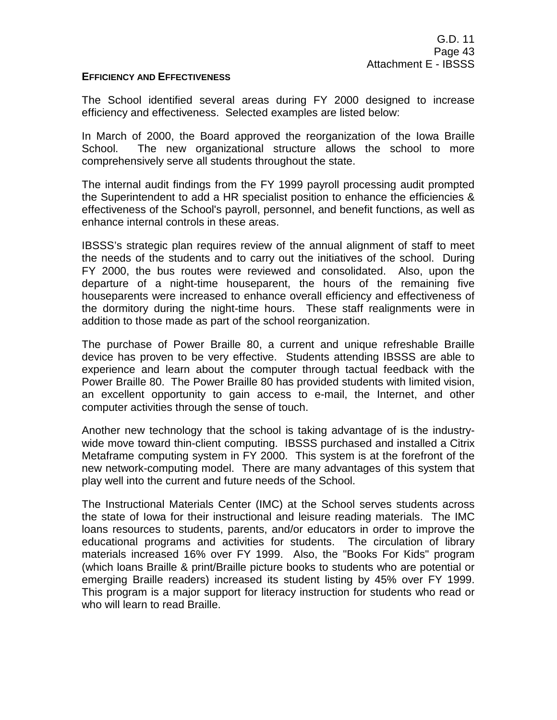#### **EFFICIENCY AND EFFECTIVENESS**

The School identified several areas during FY 2000 designed to increase efficiency and effectiveness. Selected examples are listed below:

In March of 2000, the Board approved the reorganization of the Iowa Braille School. The new organizational structure allows the school to more comprehensively serve all students throughout the state.

The internal audit findings from the FY 1999 payroll processing audit prompted the Superintendent to add a HR specialist position to enhance the efficiencies & effectiveness of the School's payroll, personnel, and benefit functions, as well as enhance internal controls in these areas.

IBSSS's strategic plan requires review of the annual alignment of staff to meet the needs of the students and to carry out the initiatives of the school. During FY 2000, the bus routes were reviewed and consolidated. Also, upon the departure of a night-time houseparent, the hours of the remaining five houseparents were increased to enhance overall efficiency and effectiveness of the dormitory during the night-time hours. These staff realignments were in addition to those made as part of the school reorganization.

The purchase of Power Braille 80, a current and unique refreshable Braille device has proven to be very effective. Students attending IBSSS are able to experience and learn about the computer through tactual feedback with the Power Braille 80. The Power Braille 80 has provided students with limited vision, an excellent opportunity to gain access to e-mail, the Internet, and other computer activities through the sense of touch.

Another new technology that the school is taking advantage of is the industrywide move toward thin-client computing. IBSSS purchased and installed a Citrix Metaframe computing system in FY 2000. This system is at the forefront of the new network-computing model. There are many advantages of this system that play well into the current and future needs of the School.

The Instructional Materials Center (IMC) at the School serves students across the state of Iowa for their instructional and leisure reading materials. The IMC loans resources to students, parents, and/or educators in order to improve the educational programs and activities for students. The circulation of library materials increased 16% over FY 1999. Also, the "Books For Kids" program (which loans Braille & print/Braille picture books to students who are potential or emerging Braille readers) increased its student listing by 45% over FY 1999. This program is a major support for literacy instruction for students who read or who will learn to read Braille.